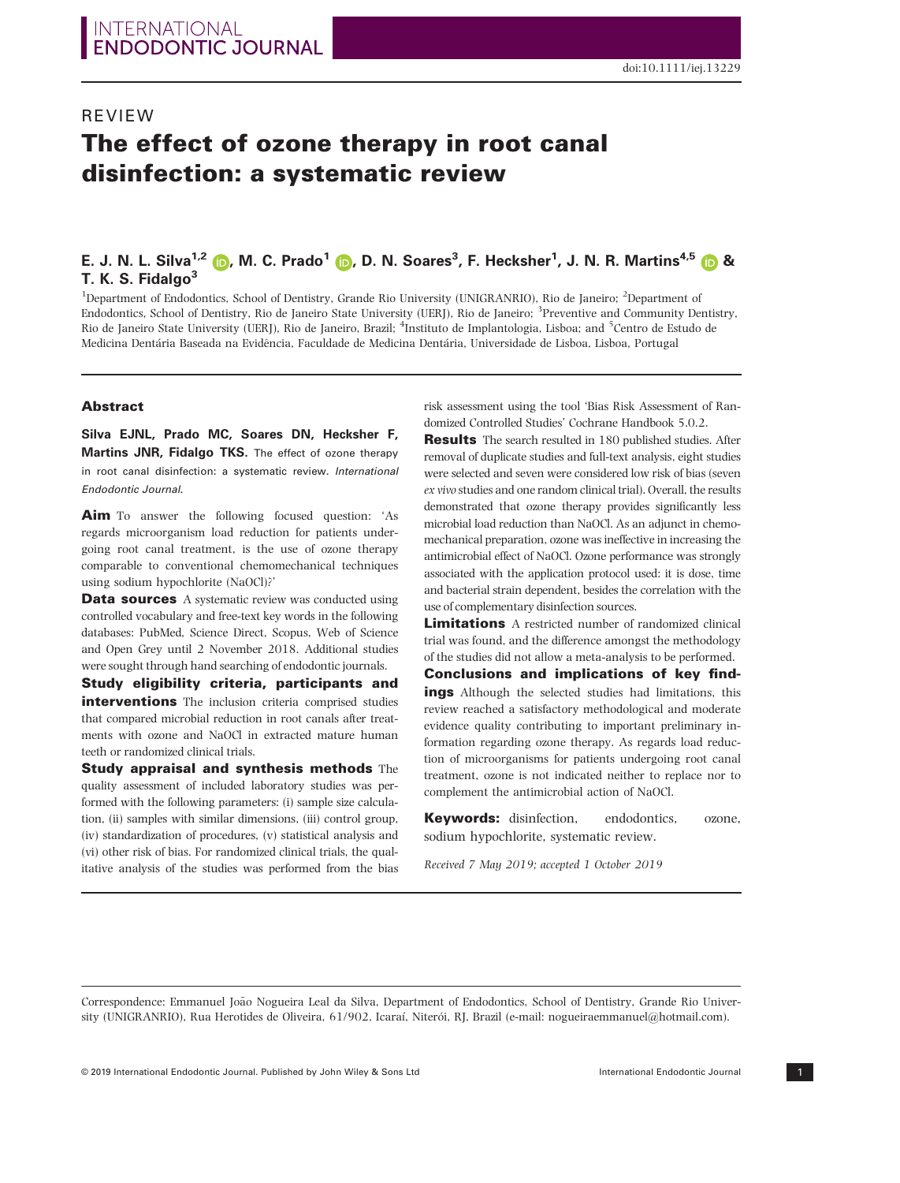# REVIEW The effect of ozone therapy in root canal disinfection: a systematic review

## E. J. N. L. Silva<sup>[1](https://orcid.org/0000-0002-7116-0402),2</sup> (D, M. C. Prado<sup>1</sup> (D, D. N. Soares<sup>3</sup>, F. Hecksher<sup>1</sup>, J. N. R. Martins<sup>4,[5](https://orcid.org/0000-0002-6932-2038)</sup> (D & T. K. S. Fidalgo<sup>3</sup>

<sup>1</sup>Department of Endodontics, School of Dentistry, Grande Rio University (UNIGRANRIO), Rio de Janeiro; <sup>2</sup>Department of Endodontics, School of Dentistry, Rio de Janeiro State University (UERJ), Rio de Janeiro; <sup>3</sup>Preventive and Community Dentistry, Rio de Janeiro State University (UERJ), Rio de Janeiro, Brazil; <sup>4</sup>Instituto de Implantologia, Lisboa; and <sup>5</sup>Centro de Estudo de Medicina Dentária Baseada na Evidência, Faculdade de Medicina Dentária, Universidade de Lisboa, Lisboa, Portugal

#### Abstract

Silva EJNL, Prado MC, Soares DN, Hecksher F, Martins JNR, Fidalgo TKS. The effect of ozone therapy in root canal disinfection: a systematic review. International Endodontic Journal.

Aim To answer the following focused question: 'As regards microorganism load reduction for patients undergoing root canal treatment, is the use of ozone therapy comparable to conventional chemomechanical techniques using sodium hypochlorite (NaOCl)?'

**Data sources** A systematic review was conducted using controlled vocabulary and free-text key words in the following databases: PubMed, Science Direct, Scopus, Web of Science and Open Grey until 2 November 2018. Additional studies were sought through hand searching of endodontic journals.

Study eligibility criteria, participants and interventions The inclusion criteria comprised studies that compared microbial reduction in root canals after treatments with ozone and NaOCl in extracted mature human teeth or randomized clinical trials.

Study appraisal and synthesis methods The quality assessment of included laboratory studies was performed with the following parameters: (i) sample size calculation, (ii) samples with similar dimensions, (iii) control group, (iv) standardization of procedures, (v) statistical analysis and (vi) other risk of bias. For randomized clinical trials, the qualitative analysis of the studies was performed from the bias risk assessment using the tool 'Bias Risk Assessment of Randomized Controlled Studies' Cochrane Handbook 5.0.2.

Results The search resulted in 180 published studies. After removal of duplicate studies and full-text analysis, eight studies were selected and seven were considered low risk of bias (seven ex vivo studies and one random clinical trial). Overall, the results demonstrated that [ozone therapy p](https://www.austinozone.com)rovides significantly less microbial load reduction than NaOCl. As an adjunct in chemomechanical preparation, ozone was ineffective in increasing the antimicrobial effect of NaOCl. Ozone performance was strongly associated with the application protocol used: it is dose, time and bacterial strain dependent, besides the correlation with the use of complementary disinfection sources.

**Limitations** A restricted number of randomized clinical trial was found, and the difference amongst the methodology of the studies did not allow a meta-analysis to be performed.

Conclusions and implications of key findings Although the selected studies had limitations, this review reached a satisfactory methodological and moderate evidence quality contributing to important preliminary information regarding ozone therapy. As regards load reduction of microorganisms for patients undergoing root canal treatment, ozone is not indicated neither to replace nor to complement the antimicrobial action of NaOCl.

Keywords: disinfection, endodontics, ozone, sodium hypochlorite, systematic review.

Received 7 May 2019; accepted 1 October 2019

Correspondence: Emmanuel Joao Nogueira Leal da Silva, Department of Endodontics, School of Dentistry, Grande Rio Univer- ~ sity (UNIGRANRIO), Rua Herotides de Oliveira, 61/902, Icaraí, Niterói, RJ, Brazil (e-mail: [nogueiraemmanuel@hotmail.com](mailto:)).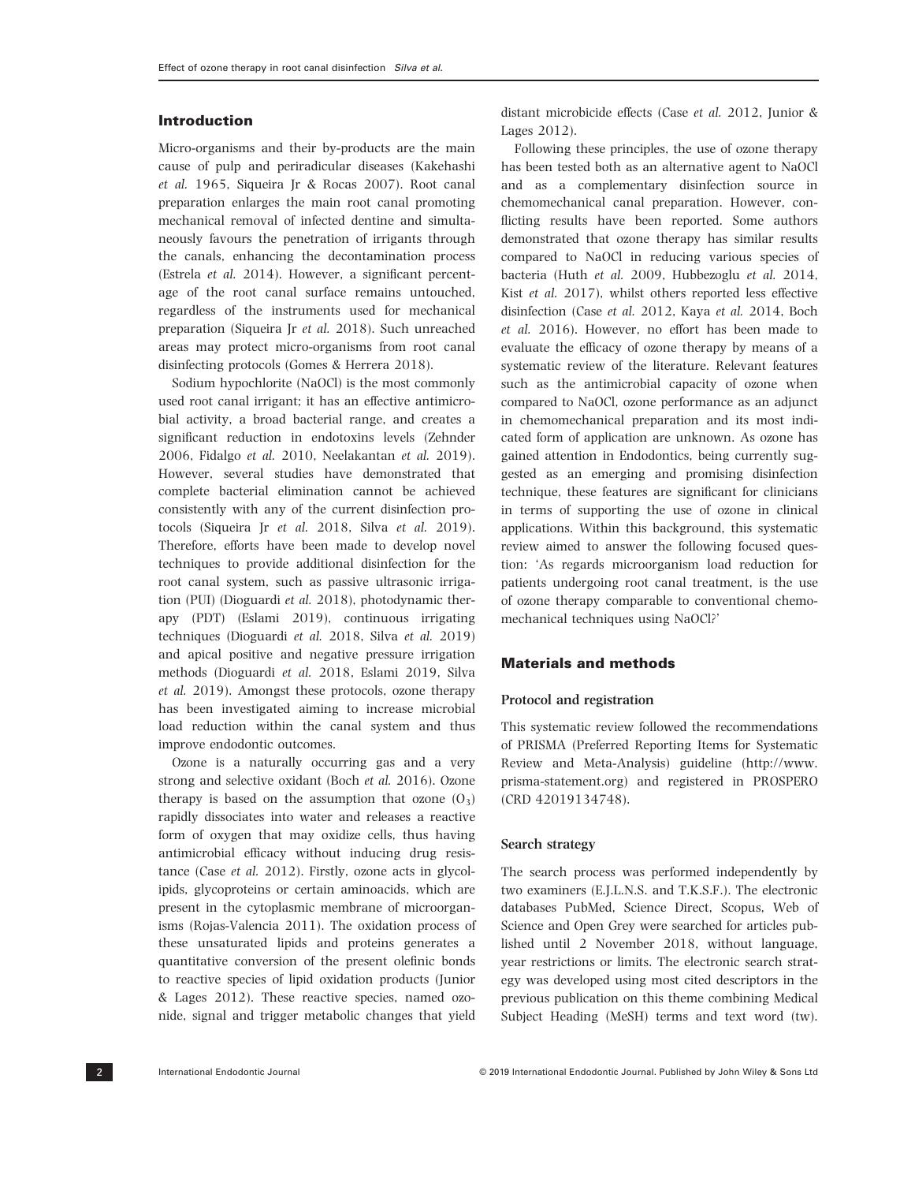## Introduction

Micro-organisms and their by-products are the main cause of pulp and periradicular diseases (Kakehashi et al. 1965, Siqueira Jr & Rocas 2007). Root canal preparation enlarges the main root canal promoting mechanical removal of infected dentine and simultaneously favours the penetration of irrigants through the canals, enhancing the decontamination process (Estrela et al. 2014). However, a significant percentage of the root canal surface remains untouched, regardless of the instruments used for mechanical preparation (Siqueira Jr et al. 2018). Such unreached areas may protect micro-organisms from root canal disinfecting protocols (Gomes & Herrera 2018).

Sodium hypochlorite (NaOCl) is the most commonly used root canal irrigant; it has an effective antimicrobial activity, a broad bacterial range, and creates a significant reduction in endotoxins levels (Zehnder 2006, Fidalgo et al. 2010, Neelakantan et al. 2019). However, several studies have demonstrated that complete bacterial elimination cannot be achieved consistently with any of the current disinfection protocols (Siqueira Jr et al. 2018, Silva et al. 2019). Therefore, efforts have been made to develop novel techniques to provide additional disinfection for the root canal system, such as passive ultrasonic irrigation (PUI) (Dioguardi et al. 2018), photodynamic therapy (PDT) (Eslami 2019), continuous irrigating techniques (Dioguardi et al. 2018, Silva et al. 2019) and apical positive and negative pressure irrigation methods (Dioguardi et al. 2018, Eslami 2019, Silva et al. 2019). Amongst these protocols, ozone therapy has been investigated aiming to increase microbial load reduction within the canal system and thus improve endodontic outcomes.

Ozone is a naturally occurring gas and a very strong and selective oxidant (Boch et al. 2016). Ozone therapy is based on the assumption that ozone  $(0_3)$ rapidly dissociates into water and releases a reactive form of oxygen that may oxidize cells, thus having antimicrobial efficacy without inducing drug resistance (Case et al. 2012). Firstly, ozone acts in glycolipids, glycoproteins or certain aminoacids, which are present in the cytoplasmic membrane of microorganisms (Rojas-Valencia 2011). The oxidation process of these unsaturated lipids and proteins generates a quantitative conversion of the present olefinic bonds to reactive species of lipid oxidation products (Junior & Lages 2012). These reactive species, named ozonide, signal and trigger metabolic changes that yield distant microbicide effects (Case et al. 2012, Junior & Lages 2012).

Following these principles, the use of ozone therapy has been tested both as an alternative agent to NaOCl and as a complementary disinfection source in chemomechanical canal preparation. However, conflicting results have been reported. Some authors demonstrated that ozone therapy has similar results compared to NaOCl in reducing various species of bacteria (Huth et al. 2009, Hubbezoglu et al. 2014, Kist et al. 2017), whilst others reported less effective disinfection (Case et al. 2012, Kaya et al. 2014, Boch et al. 2016). However, no effort has been made to evaluate the efficacy of ozone therapy by means of a systematic review of the literature. Relevant features such as the antimicrobial capacity of ozone when compared to NaOCl, ozone performance as an adjunct in chemomechanical preparation and its most indicated form of application are unknown. As ozone has gained attention in Endodontics, being currently suggested as an emerging and promising disinfection technique, these features are significant for clinicians in terms of supporting the use of ozone in clinical applications. Within this background, this systematic review aimed to answer the following focused question: 'As regards microorganism load reduction for patients undergoing root canal treatment, is the use of ozone therapy comparable to conventional chemomechanical techniques using NaOCl?'

## Materials and methods

#### Protocol and registration

This systematic review followed the recommendations of PRISMA (Preferred Reporting Items for Systematic Review and Meta-Analysis) guideline ([http://www.](http://www.prisma-statement.org) [prisma-statement.org\)](http://www.prisma-statement.org) and registered in PROSPERO (CRD 42019134748).

### Search strategy

The search process was performed independently by two examiners (E.J.L.N.S. and T.K.S.F.). The electronic databases PubMed, Science Direct, Scopus, Web of Science and Open Grey were searched for articles published until 2 November 2018, without language, year restrictions or limits. The electronic search strategy was developed using most cited descriptors in the previous publication on this theme combining Medical Subject Heading (MeSH) terms and text word (tw).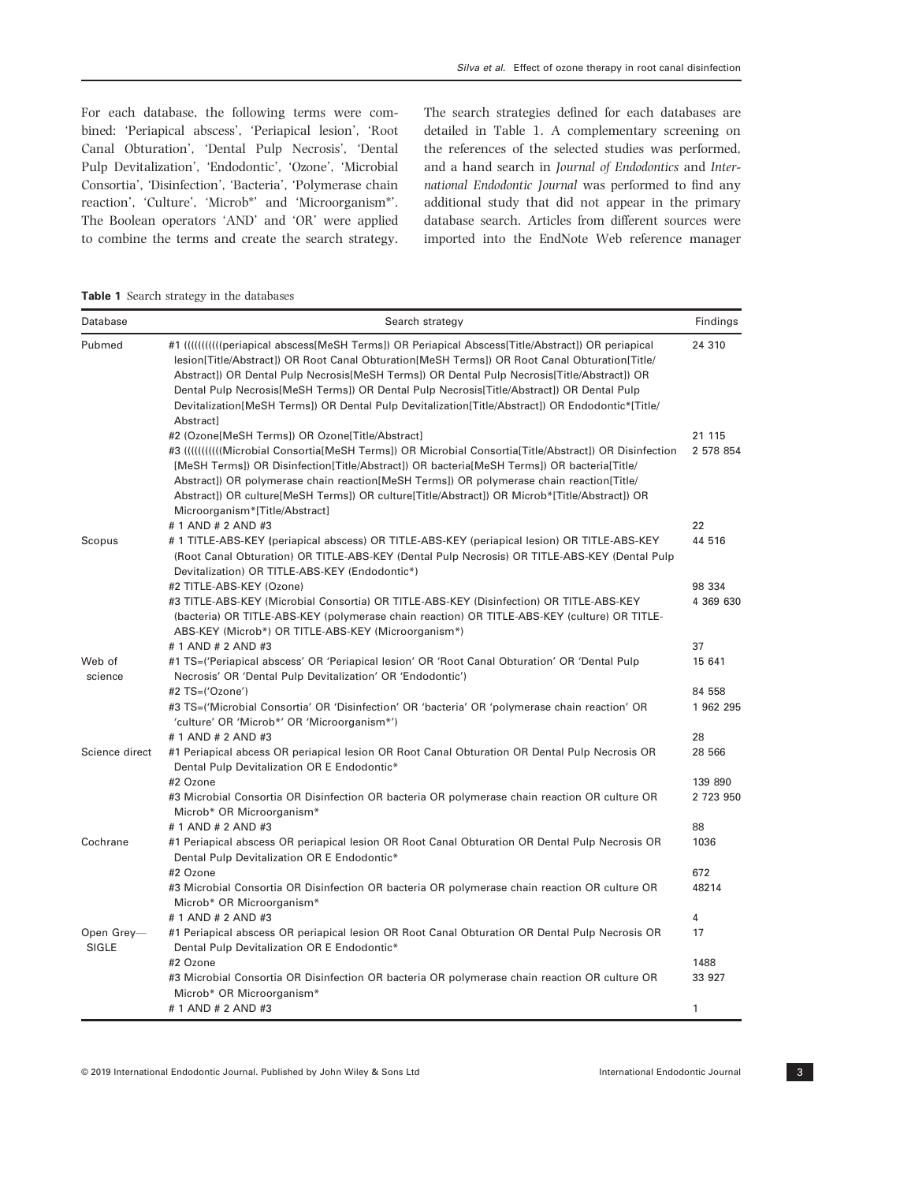For each database, the following terms were combined: 'Periapical abscess', 'Periapical lesion', 'Root Canal Obturation', 'Dental Pulp Necrosis', 'Dental Pulp Devitalization', 'Endodontic', 'Ozone', 'Microbial Consortia', 'Disinfection', 'Bacteria', 'Polymerase chain reaction', 'Culture', 'Microb\*' and 'Microorganism\*'. The Boolean operators 'AND' and 'OR' were applied to combine the terms and create the search strategy. The search strategies defined for each databases are detailed in Table 1. A complementary screening on the references of the selected studies was performed, and a hand search in Journal of Endodontics and International Endodontic Journal was performed to find any additional study that did not appear in the primary database search. Articles from different sources were imported into the EndNote Web reference manager

Table 1 Search strategy in the databases

| Database                   | Search strategy                                                                                                                                                                                                                                                                                                                                                                                                                                                                                                     | Findings             |
|----------------------------|---------------------------------------------------------------------------------------------------------------------------------------------------------------------------------------------------------------------------------------------------------------------------------------------------------------------------------------------------------------------------------------------------------------------------------------------------------------------------------------------------------------------|----------------------|
| Pubmed                     | #1 ((((((((((eriapical abscess[MeSH Terms]) OR Periapical Abscess[Title/Abstract]) OR periapical<br>lesion[Title/Abstract]) OR Root Canal Obturation[MeSH Terms]) OR Root Canal Obturation[Title/<br>Abstract]) OR Dental Pulp Necrosis[MeSH Terms]) OR Dental Pulp Necrosis[Title/Abstract]) OR<br>Dental Pulp Necrosis [MeSH Terms]) OR Dental Pulp Necrosis [Title/Abstract]) OR Dental Pulp<br>Devitalization [MeSH Terms]) OR Dental Pulp Devitalization [Title/Abstract]) OR Endodontic* [Title/<br>Abstract] | 24 310               |
|                            | #2 (Ozone[MeSH Terms]) OR Ozone[Title/Abstract]                                                                                                                                                                                                                                                                                                                                                                                                                                                                     | 21 115               |
|                            | [MeSH Terms]) OR Disinfection[Title/Abstract]) OR bacteria[MeSH Terms]) OR bacteria[Title/<br>Abstract]) OR polymerase chain reaction[MeSH Terms]) OR polymerase chain reaction[Title/<br>Abstract]) OR culture[MeSH Terms]) OR culture[Title/Abstract]) OR Microb*[Title/Abstract]) OR<br>Microorganism*[Title/Abstract]                                                                                                                                                                                           | 2 578 854            |
|                            | # 1 AND # 2 AND #3                                                                                                                                                                                                                                                                                                                                                                                                                                                                                                  | 22                   |
| Scopus                     | # 1 TITLE-ABS-KEY (periapical abscess) OR TITLE-ABS-KEY (periapical lesion) OR TITLE-ABS-KEY<br>(Root Canal Obturation) OR TITLE-ABS-KEY (Dental Pulp Necrosis) OR TITLE-ABS-KEY (Dental Pulp<br>Devitalization) OR TITLE-ABS-KEY (Endodontic*)                                                                                                                                                                                                                                                                     | 44 516               |
|                            | #2 TITLE-ABS-KEY (Ozone)                                                                                                                                                                                                                                                                                                                                                                                                                                                                                            | 98 334               |
|                            | #3 TITLE-ABS-KEY (Microbial Consortia) OR TITLE-ABS-KEY (Disinfection) OR TITLE-ABS-KEY<br>(bacteria) OR TITLE-ABS-KEY (polymerase chain reaction) OR TITLE-ABS-KEY (culture) OR TITLE-<br>ABS-KEY (Microb*) OR TITLE-ABS-KEY (Microorganism*)                                                                                                                                                                                                                                                                      | 4 369 630            |
|                            | # 1 AND # 2 AND #3                                                                                                                                                                                                                                                                                                                                                                                                                                                                                                  | 37                   |
| Web of<br>science          | #1 TS=('Periapical abscess' OR 'Periapical lesion' OR 'Root Canal Obturation' OR 'Dental Pulp<br>Necrosis' OR 'Dental Pulp Devitalization' OR 'Endodontic')                                                                                                                                                                                                                                                                                                                                                         | 15 641               |
|                            | #2 TS=('Ozone')<br>#3 TS=('Microbial Consortia' OR 'Disinfection' OR 'bacteria' OR 'polymerase chain reaction' OR<br>'culture' OR 'Microb*' OR 'Microorganism*')                                                                                                                                                                                                                                                                                                                                                    | 84 558<br>1 962 295  |
| Science direct             | # 1 AND # 2 AND #3<br>#1 Periapical abcess OR periapical lesion OR Root Canal Obturation OR Dental Pulp Necrosis OR<br>Dental Pulp Devitalization OR E Endodontic*                                                                                                                                                                                                                                                                                                                                                  | 28<br>28 566         |
|                            | #2 Ozone<br>#3 Microbial Consortia OR Disinfection OR bacteria OR polymerase chain reaction OR culture OR<br>Microb* OR Microorganism*                                                                                                                                                                                                                                                                                                                                                                              | 139 890<br>2 723 950 |
|                            | # 1 AND # 2 AND #3                                                                                                                                                                                                                                                                                                                                                                                                                                                                                                  | 88                   |
| Cochrane                   | #1 Periapical abscess OR periapical lesion OR Root Canal Obturation OR Dental Pulp Necrosis OR<br>Dental Pulp Devitalization OR E Endodontic*                                                                                                                                                                                                                                                                                                                                                                       | 1036                 |
|                            | #2 Ozone                                                                                                                                                                                                                                                                                                                                                                                                                                                                                                            | 672                  |
|                            | #3 Microbial Consortia OR Disinfection OR bacteria OR polymerase chain reaction OR culture OR<br>Microb* OR Microorganism*                                                                                                                                                                                                                                                                                                                                                                                          | 48214                |
|                            | # 1 AND # 2 AND #3                                                                                                                                                                                                                                                                                                                                                                                                                                                                                                  | 4                    |
| Open Grey-<br><b>SIGLE</b> | #1 Periapical abscess OR periapical lesion OR Root Canal Obturation OR Dental Pulp Necrosis OR<br>Dental Pulp Devitalization OR E Endodontic*                                                                                                                                                                                                                                                                                                                                                                       | 17                   |
|                            | #2 Ozone                                                                                                                                                                                                                                                                                                                                                                                                                                                                                                            | 1488                 |
|                            | #3 Microbial Consortia OR Disinfection OR bacteria OR polymerase chain reaction OR culture OR<br>Microb* OR Microorganism*                                                                                                                                                                                                                                                                                                                                                                                          | 33 927               |
|                            | # 1 AND # 2 AND #3                                                                                                                                                                                                                                                                                                                                                                                                                                                                                                  | 1                    |

© 2019 International Endodontic Journal. Published by John Wiley & Sons Ltd International Endodontic Journal 3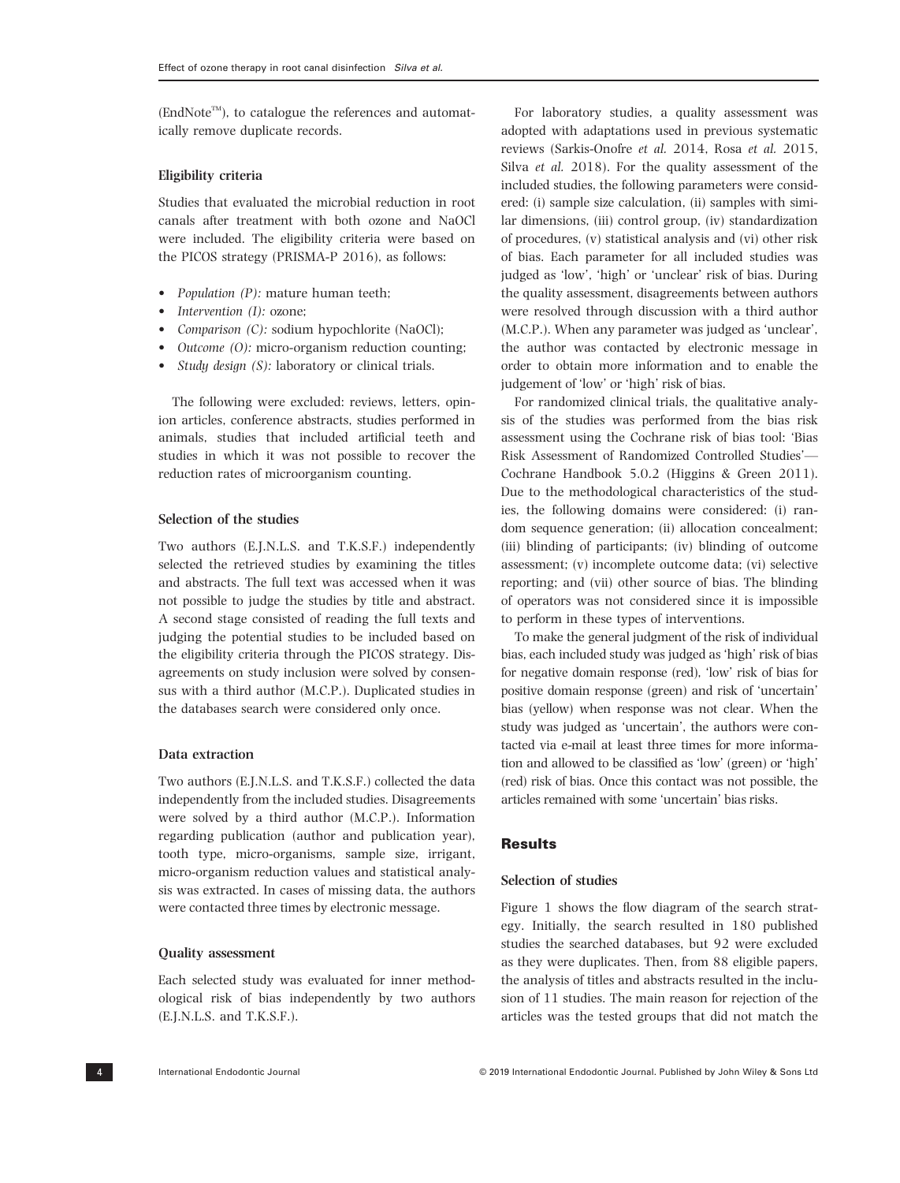$(EndNote^{TM})$ , to catalogue the references and automatically remove duplicate records.

#### Eligibility criteria

Studies that evaluated the microbial reduction in root canals after treatment with both ozone and NaOCl were included. The eligibility criteria were based on the PICOS strategy (PRISMA-P 2016), as follows:

- Population (P): mature human teeth;
- Intervention (I): ozone;
- *Comparison (C):* sodium hypochlorite (NaOCl);
- Outcome (O): micro-organism reduction counting;
- *Study design (S):* laboratory or clinical trials.

The following were excluded: reviews, letters, opinion articles, conference abstracts, studies performed in animals, studies that included artificial teeth and studies in which it was not possible to recover the reduction rates of microorganism counting.

## Selection of the studies

Two authors (E.J.N.L.S. and T.K.S.F.) independently selected the retrieved studies by examining the titles and abstracts. The full text was accessed when it was not possible to judge the studies by title and abstract. A second stage consisted of reading the full texts and judging the potential studies to be included based on the eligibility criteria through the PICOS strategy. Disagreements on study inclusion were solved by consensus with a third author (M.C.P.). Duplicated studies in the databases search were considered only once.

### Data extraction

Two authors (E.J.N.L.S. and T.K.S.F.) collected the data independently from the included studies. Disagreements were solved by a third author (M.C.P.). Information regarding publication (author and publication year), tooth type, micro-organisms, sample size, irrigant, micro-organism reduction values and statistical analysis was extracted. In cases of missing data, the authors were contacted three times by electronic message.

#### Quality assessment

Each selected study was evaluated for inner methodological risk of bias independently by two authors (E.J.N.L.S. and T.K.S.F.).

For laboratory studies, a quality assessment was adopted with adaptations used in previous systematic reviews (Sarkis-Onofre et al. 2014, Rosa et al. 2015, Silva et al. 2018). For the quality assessment of the included studies, the following parameters were considered: (i) sample size calculation, (ii) samples with similar dimensions, (iii) control group, (iv) standardization of procedures, (v) statistical analysis and (vi) other risk of bias. Each parameter for all included studies was judged as 'low', 'high' or 'unclear' risk of bias. During the quality assessment, disagreements between authors were resolved through discussion with a third author (M.C.P.). When any parameter was judged as 'unclear', the author was contacted by electronic message in order to obtain more information and to enable the judgement of 'low' or 'high' risk of bias.

For randomized clinical trials, the qualitative analysis of the studies was performed from the bias risk assessment using the Cochrane risk of bias tool: 'Bias Risk Assessment of Randomized Controlled Studies'— Cochrane Handbook 5.0.2 (Higgins & Green 2011). Due to the methodological characteristics of the studies, the following domains were considered: (i) random sequence generation; (ii) allocation concealment; (iii) blinding of participants; (iv) blinding of outcome assessment; (v) incomplete outcome data; (vi) selective reporting; and (vii) other source of bias. The blinding of operators was not considered since it is impossible to perform in these types of interventions.

To make the general judgment of the risk of individual bias, each included study was judged as 'high' risk of bias for negative domain response (red), 'low' risk of bias for positive domain response (green) and risk of 'uncertain' bias (yellow) when response was not clear. When the study was judged as 'uncertain', the authors were contacted via e-mail at least three times for more information and allowed to be classified as 'low' (green) or 'high' (red) risk of bias. Once this contact was not possible, the articles remained with some 'uncertain' bias risks.

## **Results**

## Selection of studies

Figure 1 shows the flow diagram of the search strategy. Initially, the search resulted in 180 published studies the searched databases, but 92 were excluded as they were duplicates. Then, from 88 eligible papers, the analysis of titles and abstracts resulted in the inclusion of 11 studies. The main reason for rejection of the articles was the tested groups that did not match the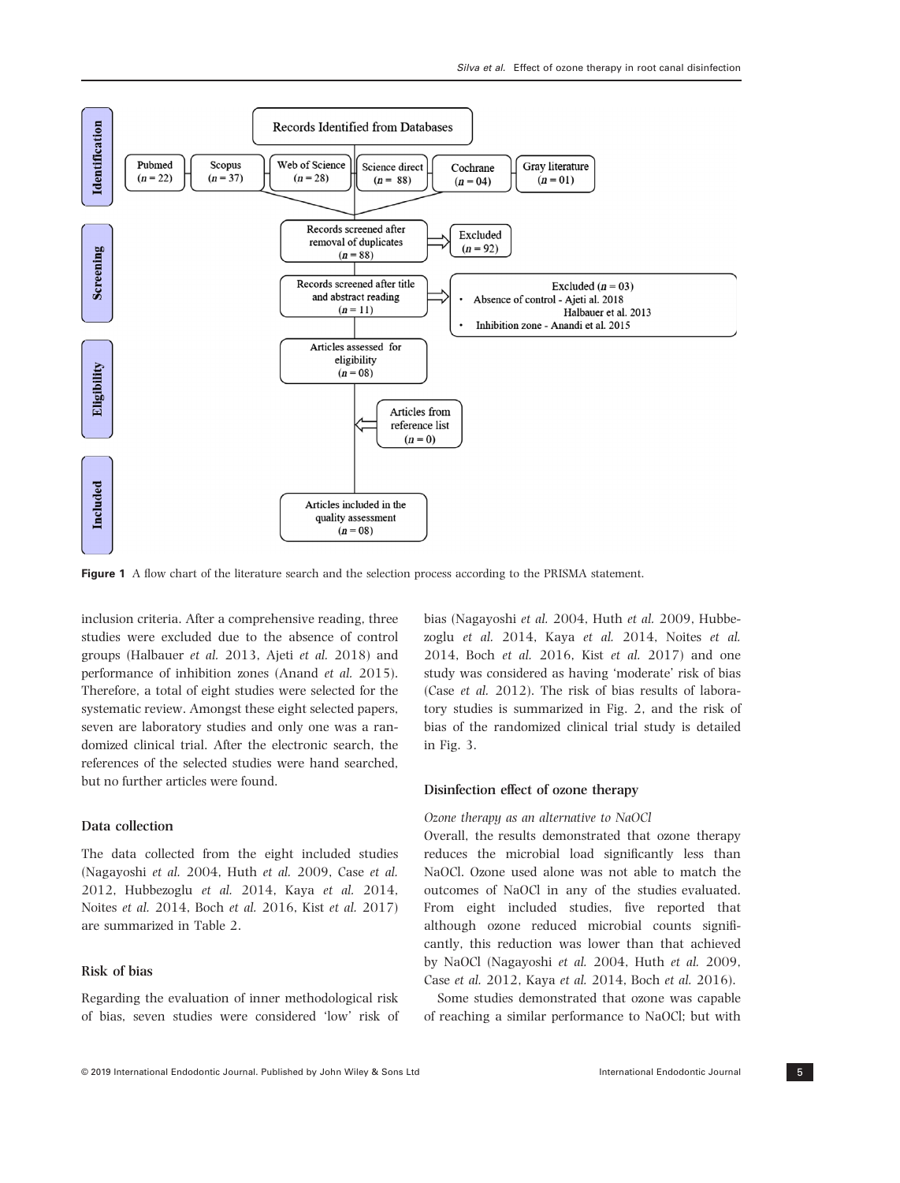

Figure 1 A flow chart of the literature search and the selection process according to the PRISMA statement.

inclusion criteria. After a comprehensive reading, three studies were excluded due to the absence of control groups (Halbauer et al. 2013, Ajeti et al. 2018) and performance of inhibition zones (Anand et al. 2015). Therefore, a total of eight studies were selected for the systematic review. Amongst these eight selected papers, seven are laboratory studies and only one was a randomized clinical trial. After the electronic search, the references of the selected studies were hand searched, but no further articles were found.

## Data collection

The data collected from the eight included studies (Nagayoshi et al. 2004, Huth et al. 2009, Case et al. 2012, Hubbezoglu et al. 2014, Kaya et al. 2014, Noites et al. 2014, Boch et al. 2016, Kist et al. 2017) are summarized in Table 2.

## Risk of bias

Regarding the evaluation of inner methodological risk of bias, seven studies were considered 'low' risk of bias (Nagayoshi et al. 2004, Huth et al. 2009, Hubbezoglu et al. 2014, Kaya et al. 2014, Noites et al. 2014, Boch et al. 2016, Kist et al. 2017) and one study was considered as having 'moderate' risk of bias (Case et al. 2012). The risk of bias results of laboratory studies is summarized in Fig. 2, and the risk of bias of the randomized clinical trial study is detailed in Fig. 3.

#### Disinfection effect of ozone therapy

## Ozone therapy as an alternative to NaOCl

Overall, the results demonstrated that ozone therapy reduces the microbial load significantly less than NaOCl. Ozone used alone was not able to match the outcomes of NaOCl in any of the studies evaluated. From eight included studies, five reported that although ozone reduced microbial counts significantly, this reduction was lower than that achieved by NaOCl (Nagayoshi et al. 2004, Huth et al. 2009, Case et al. 2012, Kaya et al. 2014, Boch et al. 2016).

Some studies demonstrated that ozone was capable of reaching a similar performance to NaOCl; but with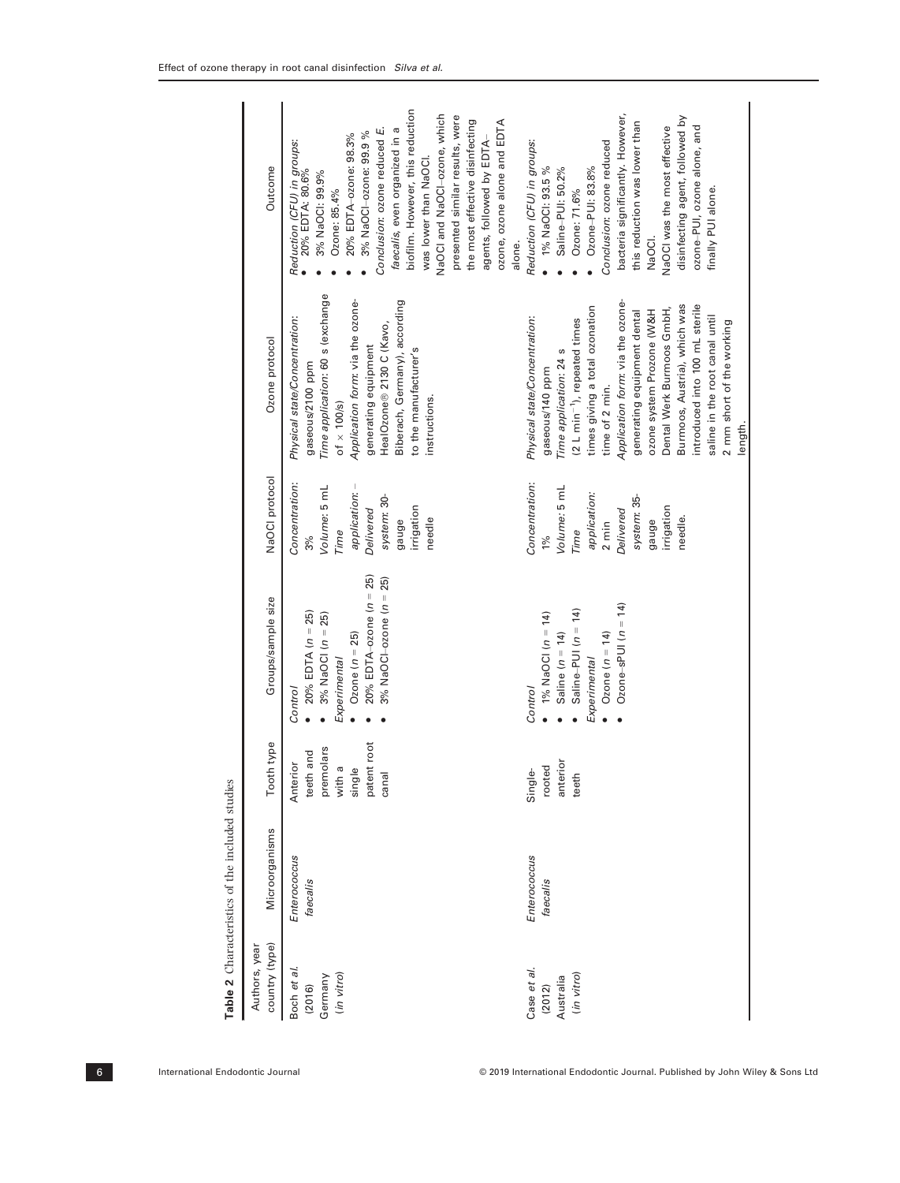| country (type)<br>Authors, year                  | Microorganisms           | Tooth type                                                                        | Groups/sample size                                                                                                                                       | NaOCI protocol                                                                                                                          | Ozone protocol                                                                                                                                                                                                                                                                                                                                                                                                                                      | Outcome                                                                                                                                                                                                                                                                                                                                                                                                                                       |
|--------------------------------------------------|--------------------------|-----------------------------------------------------------------------------------|----------------------------------------------------------------------------------------------------------------------------------------------------------|-----------------------------------------------------------------------------------------------------------------------------------------|-----------------------------------------------------------------------------------------------------------------------------------------------------------------------------------------------------------------------------------------------------------------------------------------------------------------------------------------------------------------------------------------------------------------------------------------------------|-----------------------------------------------------------------------------------------------------------------------------------------------------------------------------------------------------------------------------------------------------------------------------------------------------------------------------------------------------------------------------------------------------------------------------------------------|
| Boch et al.<br>(in vitro)<br>Germany<br>(2016)   | Enterococcus<br>faecalis | patent root<br>premolars<br>and<br>Anterior<br>with a<br>single<br>teeth<br>canal | 20% EDTA-ozone $(n = 25)$<br>3% NaOCI-ozone ( $n = 25$ )<br>$20\%$ EDTA $(n = 25)$<br>3% NaOCI $(n = 25)$<br>Ozone $(n = 25)$<br>Experimental<br>Control | Concentration:<br>application: -<br>Volume: 5 mL<br>system: 30-<br>irrigation<br>Delivered<br>needle<br>gauge<br>Time<br>3%             | Time application: 60 s (exchange<br>Application form: via the ozone-<br>Biberach, Germany), according<br>Physical state/Concentration:<br>HealOzone® 2130 C (Kavo,<br>generating equipment<br>to the manufacturer's<br>gaseous/2100 ppm<br>instructions.<br>of $\times$ 100/s)                                                                                                                                                                      | biofilm. However, this reduction<br>VaOCI and NaOCI-ozone, which<br>presented similar results, were<br>the most effective disinfecting<br>ozone, ozone alone and EDTA<br>Conclusion: ozone reduced E.<br>faecalis, even organized in a<br>3% NaOCI-ozone: 99.9%<br>20% EDTA-ozone: 98.3%<br>agents, followed by EDTA-<br>Reduction (CFU) in groups:<br>● 20% EDTA: 80.6%<br>was lower than NaOCI<br>3% NaOCI: 99.9%<br>Ozone: 85.4%<br>alone. |
| Case et al.<br>(in vitro)<br>Australia<br>(2012) | Enterococcus<br>faecalis | anterior<br>rooted<br>Single-<br>teeth                                            | Ozone–sPUI $(n = 14)$<br>Saline-PUI $(n = 14)$<br>1% NaOCI $(n = 14)$<br>Ozone $(n = 14)$<br>Saline $(n = 14)$<br>Experimental<br><b>Control</b>         | Concentration:<br>Volume: 5 mL<br>application:<br>system: 35-<br>irrigation<br>Delivered<br>needle.<br>gauge<br>$2 \text{ min}$<br>Time | Application form: via the ozone-<br>Burmoos, Austria), which was<br>introduced into 100 mL sterile<br>times giving a total ozonation<br>Dental Werk Burmoos GmbH,<br>ozone system Prozone (W&H<br>generating equipment dental<br>saline in the root canal until<br>Physical state/Concentration:<br>(2 L min <sup>-1</sup> ), repeated times<br>2 mm short of the working<br>Time application: 24 s<br>gaseous/140 ppm<br>time of 2 min.<br>length. | bacteria significantly. However,<br>disinfecting agent, followed by<br>this reduction was lower than<br>ozone-PUI, ozone alone, and<br>NaOCI was the most effective<br>Conclusion: ozone reduced<br>Reduction (CFU) in groups:<br>1% NaOCI: 93.5%<br>Saline-PUI: 50.2%<br>Ozone-PUI: 83.8%<br>finally PUI alone.<br>Ozone: 71.6%<br>NaOCI.                                                                                                    |
|                                                  |                          |                                                                                   |                                                                                                                                                          |                                                                                                                                         |                                                                                                                                                                                                                                                                                                                                                                                                                                                     |                                                                                                                                                                                                                                                                                                                                                                                                                                               |

Table 2 Characteristics of the included studies **Table 2** Characteristics of the included studies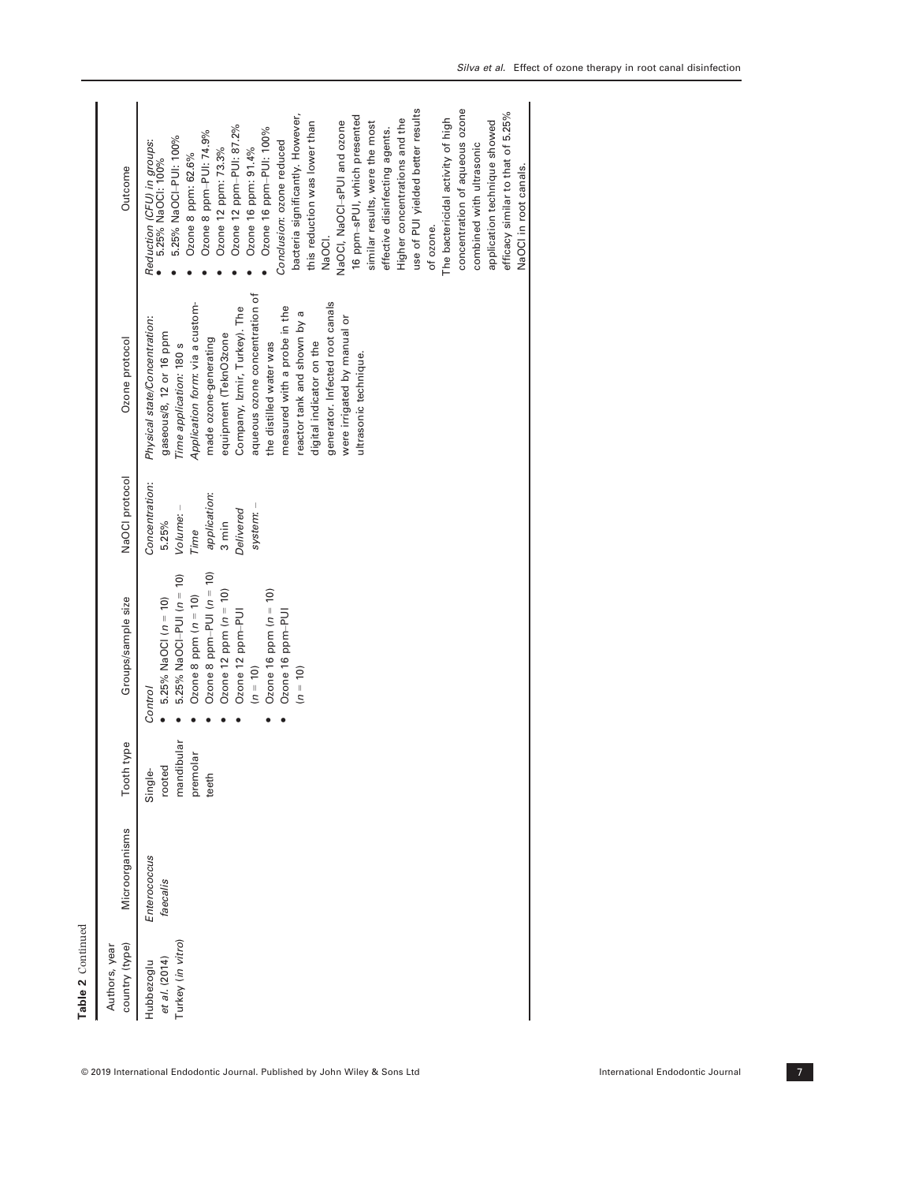| Authors, year                                    |                          |                                                      |                                                                                                                                                                                                                                                        |                                                                                                         |                                                                                                                                                                                                                                                                                                                                                                                                                                                             |                                                                                                                                                                                                                                                                                                                                                                                                                                                                                                                                                                                                                                                                                                                                                                  |
|--------------------------------------------------|--------------------------|------------------------------------------------------|--------------------------------------------------------------------------------------------------------------------------------------------------------------------------------------------------------------------------------------------------------|---------------------------------------------------------------------------------------------------------|-------------------------------------------------------------------------------------------------------------------------------------------------------------------------------------------------------------------------------------------------------------------------------------------------------------------------------------------------------------------------------------------------------------------------------------------------------------|------------------------------------------------------------------------------------------------------------------------------------------------------------------------------------------------------------------------------------------------------------------------------------------------------------------------------------------------------------------------------------------------------------------------------------------------------------------------------------------------------------------------------------------------------------------------------------------------------------------------------------------------------------------------------------------------------------------------------------------------------------------|
| country (type)                                   | Microorganisms           | Tooth type                                           | Groups/sample size                                                                                                                                                                                                                                     | NaOCI protocol                                                                                          | Ozone protocol                                                                                                                                                                                                                                                                                                                                                                                                                                              | Outcome                                                                                                                                                                                                                                                                                                                                                                                                                                                                                                                                                                                                                                                                                                                                                          |
| Turkey (in vitro)<br>et al. (2014)<br>Hubbezoglu | Enterococcus<br>faecalis | mandibular<br>premolar<br>rooted<br>Single-<br>teeth | Ozone 8 ppm-PUI $(n = 10)$<br>5.25% NaOCI-PUI (n = 10)<br>Ozone 12 ppm $(n = 10)$<br>Ozone 16 ppm $(n = 10)$<br>Ozone 8 ppm $(n = 10)$<br>5.25% NaOCI $(n = 10)$<br>Ozone 12 ppm-PUI<br>Ozone 16 ppm-PUI<br>$(n = 10)$<br>$(n = 10)$<br><b>Control</b> | Concentration:<br>application:<br>Volume: -<br>Delivered<br>system:<br>5.25%<br>$3 \text{ min}$<br>Time | aqueous ozone concentration of<br>generator. Infected root canals<br>Application form: via a custom-<br>Company, Izmir, Turkey). The<br>measured with a probe in the<br>reactor tank and shown by a<br>were irrigated by manual or<br>Physical state/Concentration:<br>gaseous/8, 12 or 16 ppm<br>equipment (TeknO3zone<br>made ozone-generating<br>digital indicator on the<br>the distilled water was<br>Time application: 180 s<br>ultrasonic technique. | use of PUI yielded better results<br>concentration of aqueous ozone<br>bacteria significantly. However,<br>efficacy similar to that of 5.25%<br>16 ppm-sPUI, which presented<br>The bactericidal activity of high<br>Higher concentrations and the<br>this reduction was lower than<br>similar results, were the most<br>application technique showed<br>NaOCI, NaOCI-sPUI and ozone<br>Ozone 12 ppm-PUI: 87.2%<br>Ozone 16 ppm-PUI: 100%<br>effective disinfecting agents.<br>Ozone 8 ppm-PUI: 74.9%<br>5.25% NaOCI-PUI: 100%<br>Reduction (CFU) in groups:<br>• 5.25% NaOCI: 100%<br>Conclusion: ozone reduced<br>combined with ultrasonic<br>Ozone 16 ppm: 91.4%<br>Ozone 12 ppm: 73.3%<br>Ozone 8 ppm: 62.6%<br>NaOCI in root canals.<br>of ozone.<br>NaOCI. |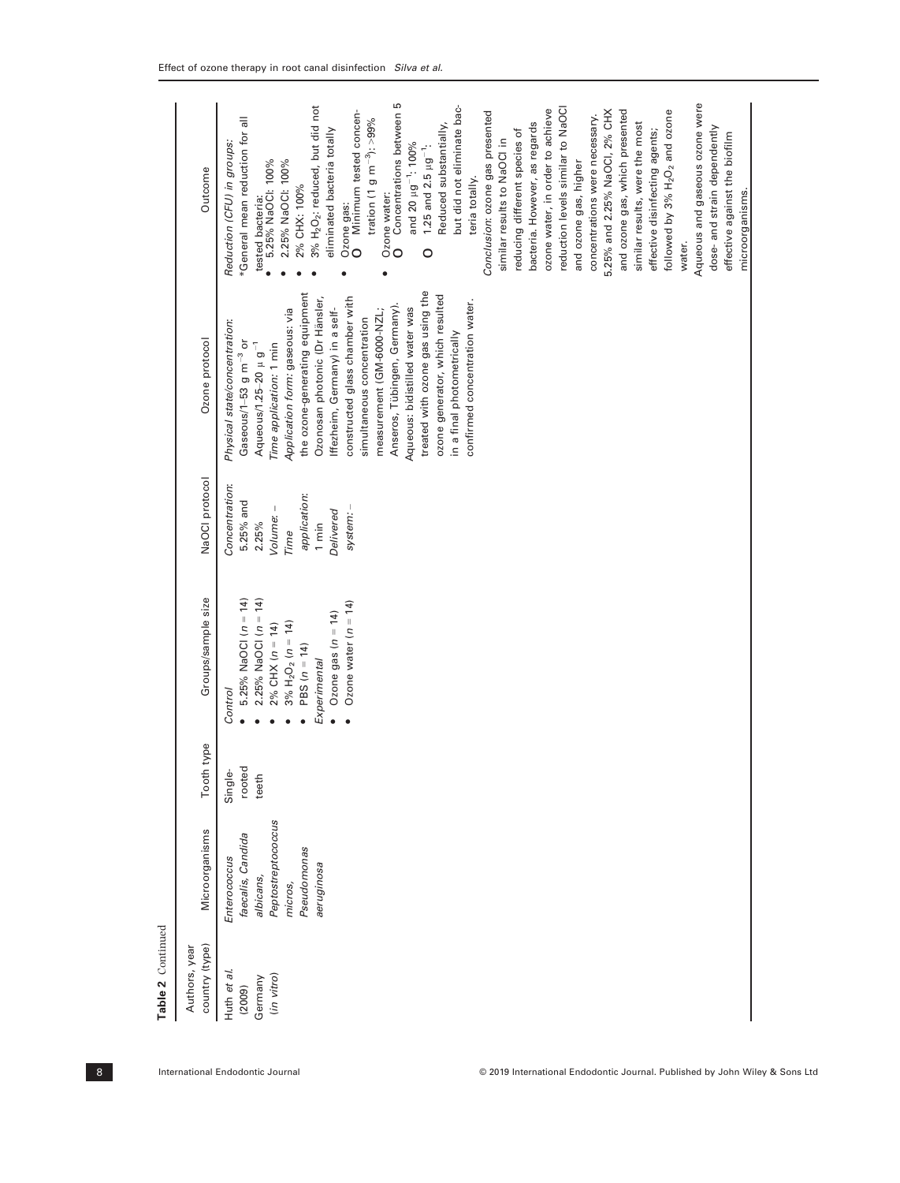| country (type)<br>Authors, year                | Microorganisms                                                                                               | Tooth type                 | Groups/sample size                                                                                                                                                                             | NaOCI protocol                                                                                                      | Ozone protocol                                                                                                                                                                                                                                                                                                                                                                                                                                                                                                                                                                         | Outcome                                                                                                                                                                                                                                                                                                                                                                                                                                                                                                                                                                                                                                                                                                                                                                                                                                                                                                                                                                                                                                                                                                                                                     |
|------------------------------------------------|--------------------------------------------------------------------------------------------------------------|----------------------------|------------------------------------------------------------------------------------------------------------------------------------------------------------------------------------------------|---------------------------------------------------------------------------------------------------------------------|----------------------------------------------------------------------------------------------------------------------------------------------------------------------------------------------------------------------------------------------------------------------------------------------------------------------------------------------------------------------------------------------------------------------------------------------------------------------------------------------------------------------------------------------------------------------------------------|-------------------------------------------------------------------------------------------------------------------------------------------------------------------------------------------------------------------------------------------------------------------------------------------------------------------------------------------------------------------------------------------------------------------------------------------------------------------------------------------------------------------------------------------------------------------------------------------------------------------------------------------------------------------------------------------------------------------------------------------------------------------------------------------------------------------------------------------------------------------------------------------------------------------------------------------------------------------------------------------------------------------------------------------------------------------------------------------------------------------------------------------------------------|
| Huth et al.<br>(in vitro)<br>Germany<br>(2009) | Peptostreptococcus<br>faecalis, Candida<br>Pseudomonas<br>Enterococcus<br>aeruginosa<br>albicans,<br>micros, | rooted<br>Single-<br>teeth | 5.25% NaOCI (n = 14)<br>2.25% NaOCI $(n = 14)$<br>Ozone water $(n = 14)$<br>Ozone gas $(n = 14)$<br>$3\% H_2O_2 (n = 14)$<br>$2\%$ CHX $(n = 14)$<br>PBS $(n = 14)$<br>Experimental<br>Control | Concentration:<br>application:<br>5.25% and<br>Volume: -<br>Delivered<br>system:<br>$1 \text{min}$<br>2.25%<br>Time | treated with ozone gas using the<br>the ozone-generating equipment<br>ozone generator, which resulted<br>constructed glass chamber with<br>Ozonosan photonic (Dr Hänsler,<br>confirmed concentration water.<br>Anseros, Tübingen, Germany).<br>Aqueous: bidistilled water was<br>Application form: gaseous: via<br>Iffezheim, Germany) in a self-<br>measurement (GM-6000-NZL;<br>simultaneous concentration<br>Physical state/concentration:<br>in a final photometrically<br>Gaseous/1-53 $g$ m <sup>-3</sup> or<br>Aqueous/1.25-20 $\mu$ g <sup>-1</sup><br>Time application: 1 min | Concentrations between 5<br>Aqueous and gaseous ozone were<br>3% H <sub>2</sub> O <sub>2</sub> : reduced, but did not<br>but did not eliminate bac-<br>reduction levels similar to NaOCI<br>Minimum tested concen-<br>ozone water, in order to achieve<br>and ozone gas, which presented<br>followed by 3% H <sub>2</sub> O <sub>2</sub> and ozone<br>5.25% and 2.25% NaOCI, 2% CHX<br>Conclusion: ozone gas presented<br>concentrations were necessary.<br>*General mean reduction for all<br>tration (1 g m <sup>-3</sup> ): >99%<br>bacteria. However, as regards<br>similar results, were the most<br>Reduced substantially,<br>dose- and strain dependently<br>reducing different species of<br>eliminated bacteria totally<br>effective disinfecting agents;<br>effective against the biofilm<br>similar results to NaOCI in<br>Reduction (CFU) in groups:<br>and 20 µg <sup>-1</sup> : 100%<br>1.25 and 2.5 $\mu$ g <sup>-1</sup> :<br>and ozone gas, higher<br>2.25% NaOCI: 100%<br>tested bacteria:<br>• 5.25% NaOCI: 100%<br>teria totally.<br>2% CHX: 100%<br>microorganisms.<br>Ozone water:<br>Ozone gas:<br>water.<br>$\circ$<br>$\circ$<br>0 |
|                                                |                                                                                                              |                            |                                                                                                                                                                                                |                                                                                                                     |                                                                                                                                                                                                                                                                                                                                                                                                                                                                                                                                                                                        |                                                                                                                                                                                                                                                                                                                                                                                                                                                                                                                                                                                                                                                                                                                                                                                                                                                                                                                                                                                                                                                                                                                                                             |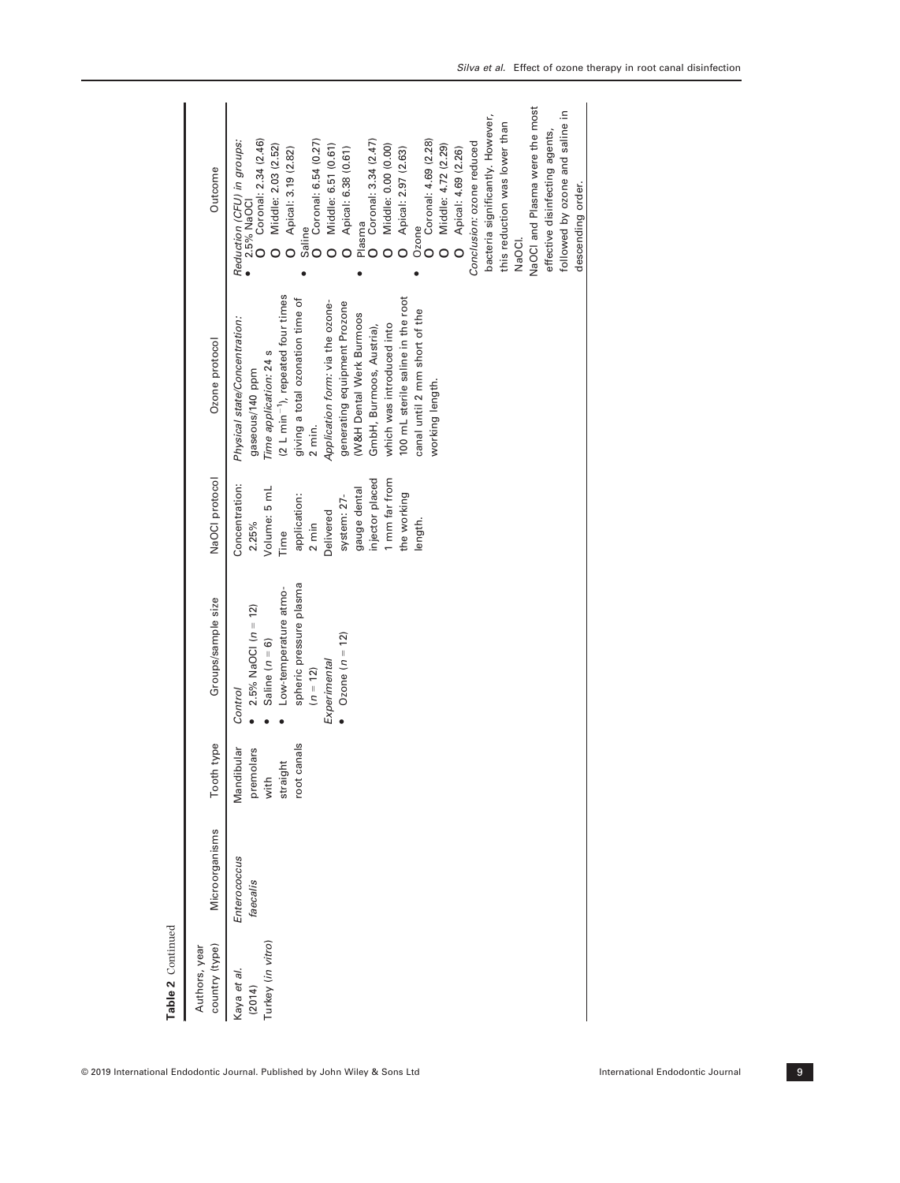| Table 2 Continued                          |                          |                                                               |                                                                                                                                                                          |                                                                                                                                                                                              |                                                                                                                                                                                                                                                                                                                                                                                                                             |                                                                                                                                                                                                                                                                                                                                                                                                                                                                                                                                                                                                                                         |
|--------------------------------------------|--------------------------|---------------------------------------------------------------|--------------------------------------------------------------------------------------------------------------------------------------------------------------------------|----------------------------------------------------------------------------------------------------------------------------------------------------------------------------------------------|-----------------------------------------------------------------------------------------------------------------------------------------------------------------------------------------------------------------------------------------------------------------------------------------------------------------------------------------------------------------------------------------------------------------------------|-----------------------------------------------------------------------------------------------------------------------------------------------------------------------------------------------------------------------------------------------------------------------------------------------------------------------------------------------------------------------------------------------------------------------------------------------------------------------------------------------------------------------------------------------------------------------------------------------------------------------------------------|
| country (type)<br>Authors, year            | Microorganisms           | Tooth type                                                    | Groups/sample size                                                                                                                                                       | NaOCI protocol                                                                                                                                                                               | Ozone protocol                                                                                                                                                                                                                                                                                                                                                                                                              | Outcome                                                                                                                                                                                                                                                                                                                                                                                                                                                                                                                                                                                                                                 |
| Turkey (in vitro)<br>Kaya et al.<br>(2014) | Enterococcus<br>faecalis | canals<br>Mandibular<br>premolars<br>straight<br>with<br>root | spheric pressure plasma<br>Low-temperature atmo-<br>$2.5\%$ NaOCI ( $n = 12$ )<br>• Ozone $(n = 12)$<br>Saline $(n = 6)$<br>Experimental<br>$(n = 12)$<br><b>Control</b> | injector placed<br>1 mm far from<br>Concentration:<br>gauge dental<br>Volume: 5 mL<br>the working<br>application:<br>system: 27-<br>Delivered<br>length.<br>2.25%<br>$2 \text{ min}$<br>Time | (2 L min <sup>-1</sup> ), repeated four times<br>100 mL sterile saline in the root<br>giving a total ozonation time of<br>Application form: via the ozone-<br>generating equipment Prozone<br>canal until 2 mm short of the<br>(W&H Dental Werk Burmoos<br>Physical state/Concentration:<br>which was introduced into<br>GmbH, Burmoos, Austria),<br>Time application: 24 s<br>gaseous/140 ppm<br>working length.<br>2 min. | NaOCI and Plasma were the most<br>followed by ozone and saline in<br>bacteria significantly. However,<br>this reduction was lower than<br>effective disinfecting agents,<br>Coronal: 3.34 (2.47)<br>Ozone<br>O Coronal: 4.69 (2.28)<br>Coronal: 2.34 (2.46)<br>Saline<br>O Coronal: 6.54 (0.27)<br>Conclusion: ozone reduced<br>Reduction (CFU) in groups:<br>Middle: 6.51 (0.61)<br>Middle: 0.00 (0.00)<br>Middle: 4.72 (2.29)<br>Middle: 2.03 (2.52)<br>Apical: 6.38 (0.61)<br>Apical: 3.19 (2.82)<br>Apical: 2.97 (2.63)<br>Apical: 4.69 (2.26)<br>descending order.<br>2.5% NaOCI<br>Plasma<br>NaOCI.<br>$\circ$ $\circ$<br>$\circ$ |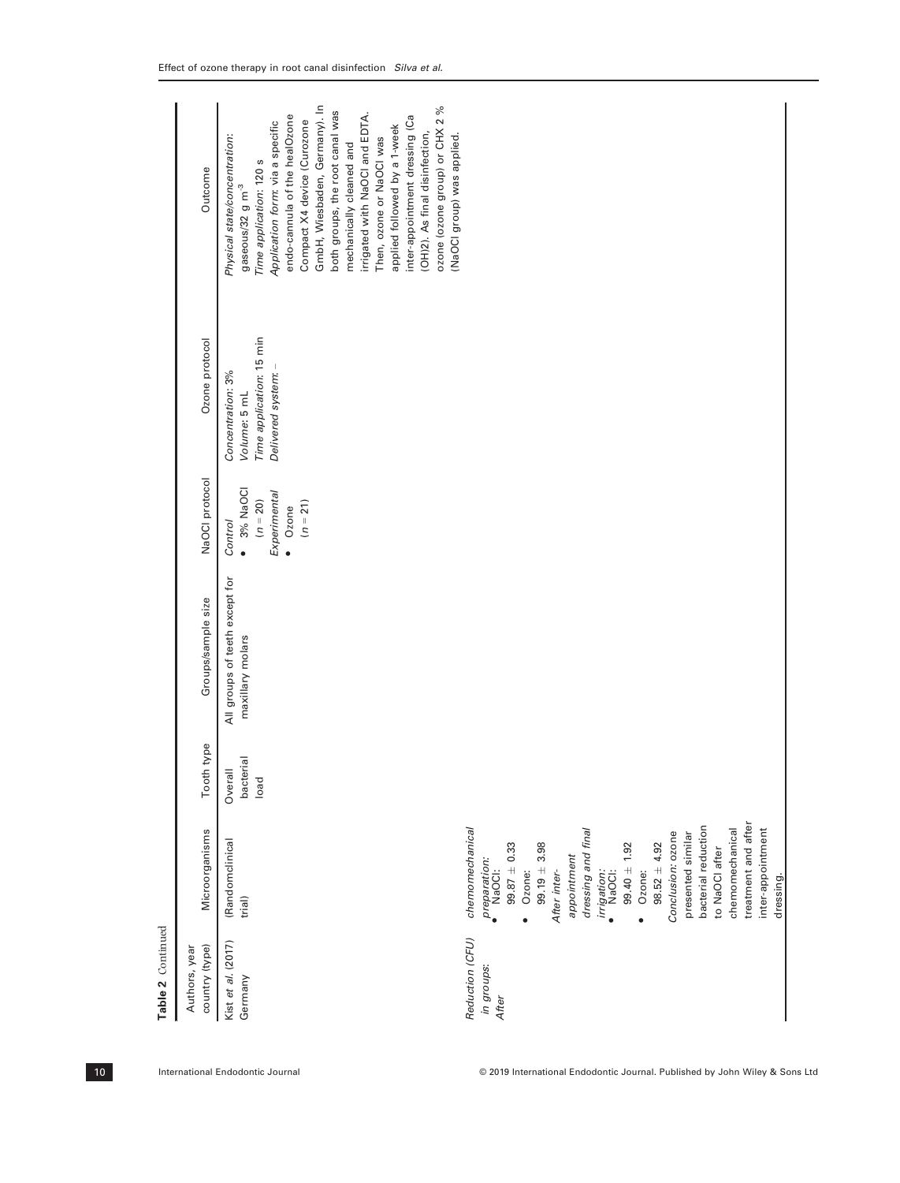Table 2 Continued Table 2 Continued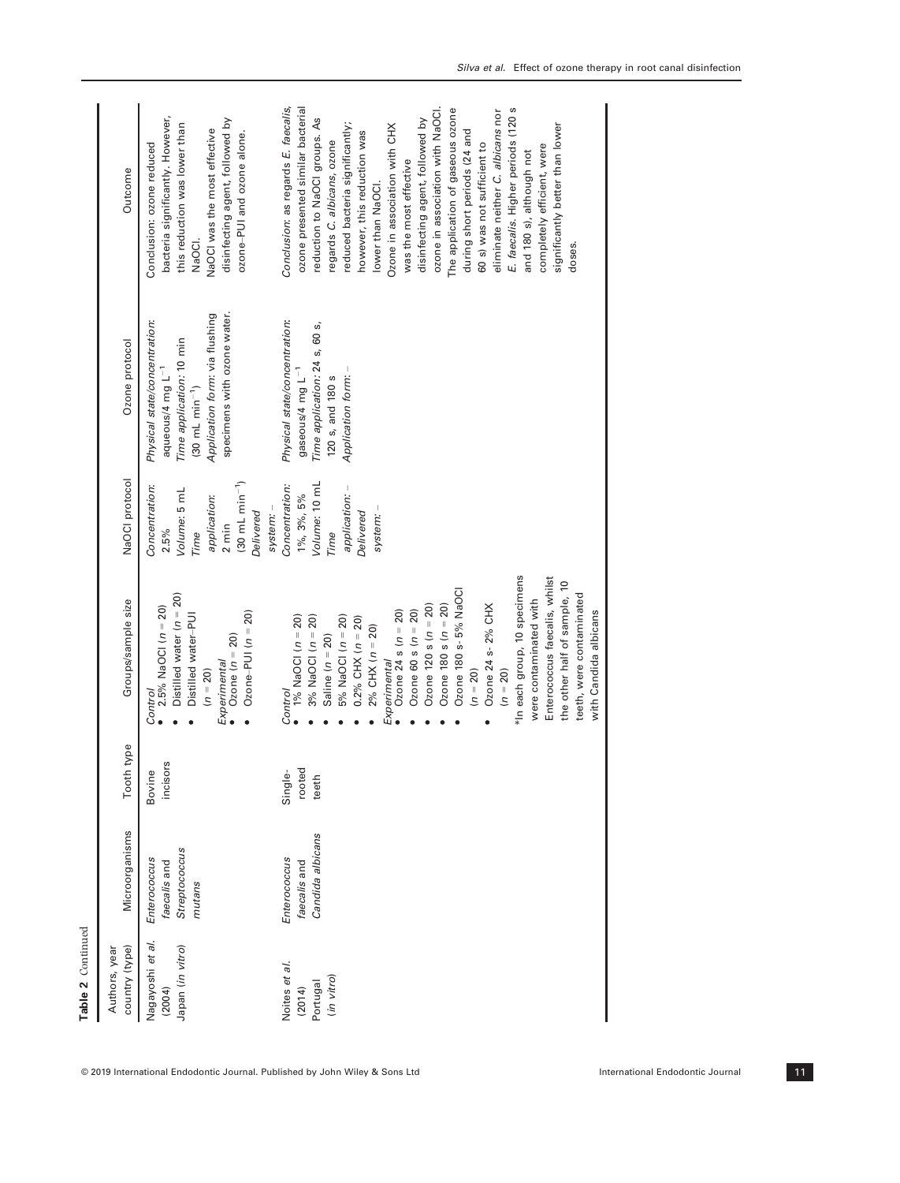| Table 2 Continued<br>Nagayoshi et al.<br>Japan (in vitro)<br>country (type)<br>Authors, year<br>Noites et al.<br>(in vitro)<br>Portugal<br>(2004)<br>(2014) | Microorganisms<br>Candida albicans<br>Streptococcus<br>Enterococcus<br>Enterococcus<br>faecalis and<br>faecalis and<br>mutans | Tooth type<br>incisors<br>rooted<br>Bovine<br>Single-<br>teeth | *In each group, 10 specimens<br>Ozone 180 s- 5% NaOCI<br>Distilled water ( $n = 20$ )<br>Groups/sample size<br>Ozone 24 s- 2% CHX<br>Ozone 120 s ( $n = 20$ )<br>Ozone 180 s $(n = 20)$<br>2.5% NaOCI ( $n = 20$ )<br>Ozone 60 s ( $n = 20$ )<br>Ozone-PUI $(n = 20)$<br>Ozone 24 s ( $n = 20$ )<br>Distilled water-PUI<br>$5%$ NaOCI ( $n = 20$ )<br>1% NaOCI $(n = 20)$<br>3% NaOCI ( $n = 20$ )<br>$0.2\%$ CHX ( $n = 20$ )<br>$2\%$ CHX $(n = 20)$<br>Saline $(n = 20)$<br>Ozone $(n = 20)$<br>Experimental<br>Experimental<br>$(n = 20)$<br>$(n = 20)$<br>$(n = 20)$<br><b>Control</b><br>Control | NaOCI protocol<br>$(30 \text{ mL min}^{-1})$<br>Volume: 10 mL<br>Concentration:<br>Concentration:<br>application: -<br>Volume: 5 mL<br>1%, 3%, 5%<br>application:<br>system: -<br>Delivered<br>Delivered<br>system:<br>$2 \text{ min}$<br>2.5%<br>Time<br>Time | specimens with ozone water.<br>Application form: via flushing<br>Physical state/concentration:<br>Physical state/concentration:<br>Time application: 24 s, 60 s,<br>Time application: 10 min<br>Ozone protocol<br>aqueous/4 mg L <sup>-1</sup><br>gaseous/4 mg $L^{-1}$<br>Application form: -<br>120 s, and 180 s<br>$(30 \text{ mL min}^{-1})$ | Conclusion: as regards E. faecalis,<br>ozone in association with NaOCI.<br>ozone presented similar bacterial<br>The application of gaseous ozone<br>E. faecalis. Higher periods (120 s<br>eliminate neither C. albicans nor<br>bacteria significantly. However,<br>reduction to NaOCI groups. As<br>disinfecting agent, followed by<br>disinfecting agent, followed by<br>this reduction was lower than<br>reduced bacteria significantly;<br>Ozone in association with CHX<br>NaOCI was the most effective<br>during short periods (24 and<br>however, this reduction was<br>ozone-PUI and ozone alone.<br>regards C. albicans, ozone<br>60 s) was not sufficient to<br>Conclusion: ozone reduced<br>was the most effective<br>Outcome<br>lower than NaOCI.<br>NaOCI. |
|-------------------------------------------------------------------------------------------------------------------------------------------------------------|-------------------------------------------------------------------------------------------------------------------------------|----------------------------------------------------------------|--------------------------------------------------------------------------------------------------------------------------------------------------------------------------------------------------------------------------------------------------------------------------------------------------------------------------------------------------------------------------------------------------------------------------------------------------------------------------------------------------------------------------------------------------------------------------------------------------------|----------------------------------------------------------------------------------------------------------------------------------------------------------------------------------------------------------------------------------------------------------------|--------------------------------------------------------------------------------------------------------------------------------------------------------------------------------------------------------------------------------------------------------------------------------------------------------------------------------------------------|------------------------------------------------------------------------------------------------------------------------------------------------------------------------------------------------------------------------------------------------------------------------------------------------------------------------------------------------------------------------------------------------------------------------------------------------------------------------------------------------------------------------------------------------------------------------------------------------------------------------------------------------------------------------------------------------------------------------------------------------------------------------|
|                                                                                                                                                             |                                                                                                                               |                                                                | Enterococcus faecalis, whilst<br>the other half of sample, 10<br>teeth, were contaminated<br>were contaminated with<br>with Candida albicans                                                                                                                                                                                                                                                                                                                                                                                                                                                           |                                                                                                                                                                                                                                                                |                                                                                                                                                                                                                                                                                                                                                  | significantly better than lower<br>completely efficient, were<br>and 180 s), although not<br>doses.                                                                                                                                                                                                                                                                                                                                                                                                                                                                                                                                                                                                                                                                    |

© 2019 International Endodontic Journal. Published by John Wiley & Sons Ltd International Endodontic Journal 11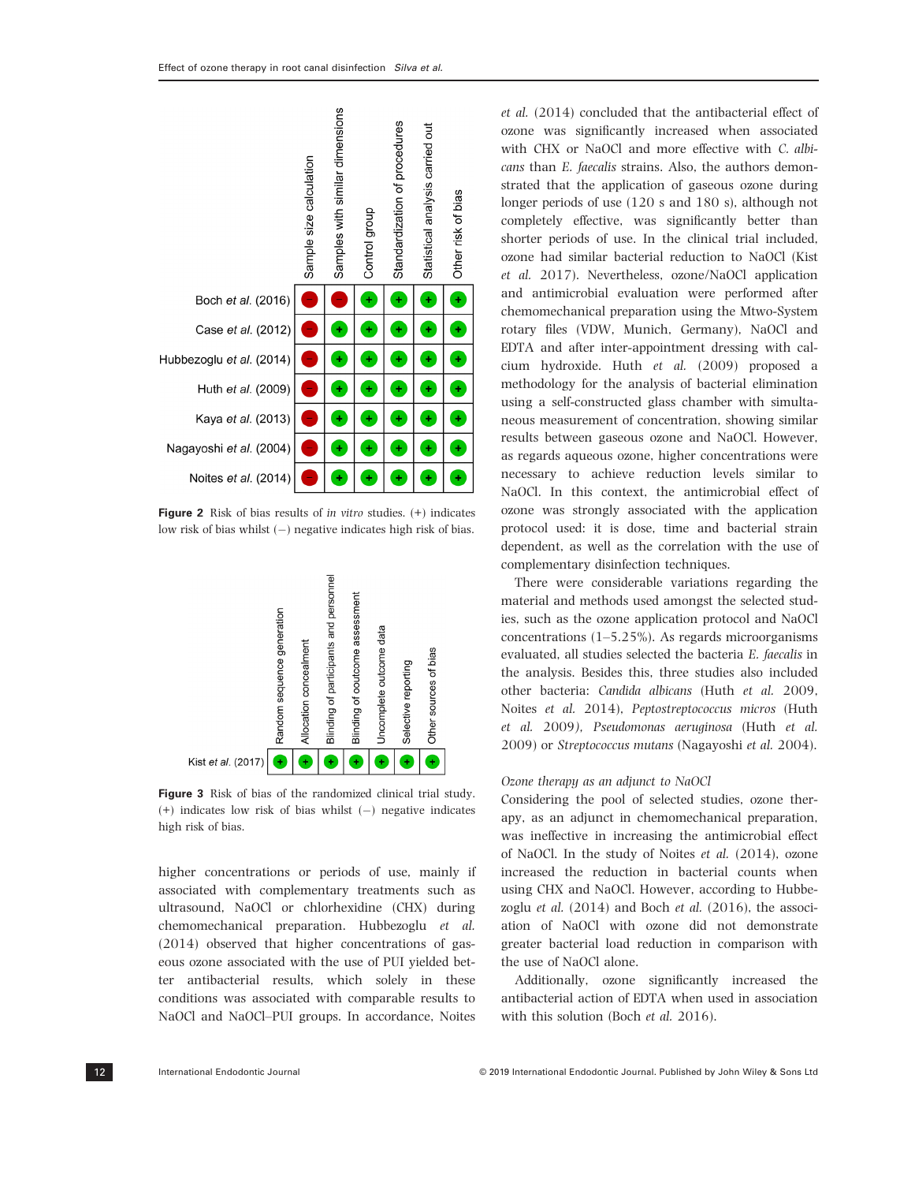

Figure 2 Risk of bias results of in vitro studies. (+) indicates low risk of bias whilst  $(-)$  negative indicates high risk of bias.



Figure 3 Risk of bias of the randomized clinical trial study.  $(+)$  indicates low risk of bias whilst  $(-)$  negative indicates high risk of bias.

higher concentrations or periods of use, mainly if associated with complementary treatments such as ultrasound, NaOCl or chlorhexidine (CHX) during chemomechanical preparation. Hubbezoglu et al. (2014) observed that higher concentrations of gaseous ozone associated with the use of PUI yielded better antibacterial results, which solely in these conditions was associated with comparable results to NaOCl and NaOCl–PUI groups. In accordance, Noites

et al. (2014) concluded that the antibacterial effect of ozone was significantly increased when associated with CHX or NaOCl and more effective with C. albicans than E. faecalis strains. Also, the authors demonstrated that the application of gaseous ozone during longer periods of use (120 s and 180 s), although not completely effective, was significantly better than shorter periods of use. In the clinical trial included, ozone had similar bacterial reduction to NaOCl (Kist et al. 2017). Nevertheless, ozone/NaOCl application and antimicrobial evaluation were performed after chemomechanical preparation using the Mtwo-System rotary files (VDW, Munich, Germany), NaOCl and EDTA and after inter-appointment dressing with calcium hydroxide. Huth et al. (2009) proposed a methodology for the analysis of bacterial elimination using a self-constructed glass chamber with simultaneous measurement of concentration, showing similar results between gaseous ozone and NaOCl. However, as regards aqueous ozone, higher concentrations were necessary to achieve reduction levels similar to NaOCl. In this context, the antimicrobial effect of ozone was strongly associated with the application protocol used: it is dose, time and bacterial strain dependent, as well as the correlation with the use of complementary disinfection techniques.

There were considerable variations regarding the material and methods used amongst the selected studies, such as the ozone application protocol and NaOCl concentrations (1–5.25%). As regards microorganisms evaluated, all studies selected the bacteria E. faecalis in the analysis. Besides this, three studies also included other bacteria: Candida albicans (Huth et al. 2009, Noites et al. 2014), Peptostreptococcus micros (Huth et al. 2009), Pseudomonas aeruginosa (Huth et al. 2009) or Streptococcus mutans (Nagayoshi et al. 2004).

### Ozone therapy as an adjunct to NaOCl

Considering the pool of selected studies, ozone therapy, as an adjunct in chemomechanical preparation, was ineffective in increasing the antimicrobial effect of NaOCl. In the study of Noites et al. (2014), ozone increased the reduction in bacterial counts when using CHX and NaOCl. However, according to Hubbezoglu et al. (2014) and Boch et al. (2016), the association of NaOCl with ozone did not demonstrate greater bacterial load reduction in comparison with the use of NaOCl alone.

Additionally, ozone significantly increased the antibacterial action of EDTA when used in association with this solution (Boch et al. 2016).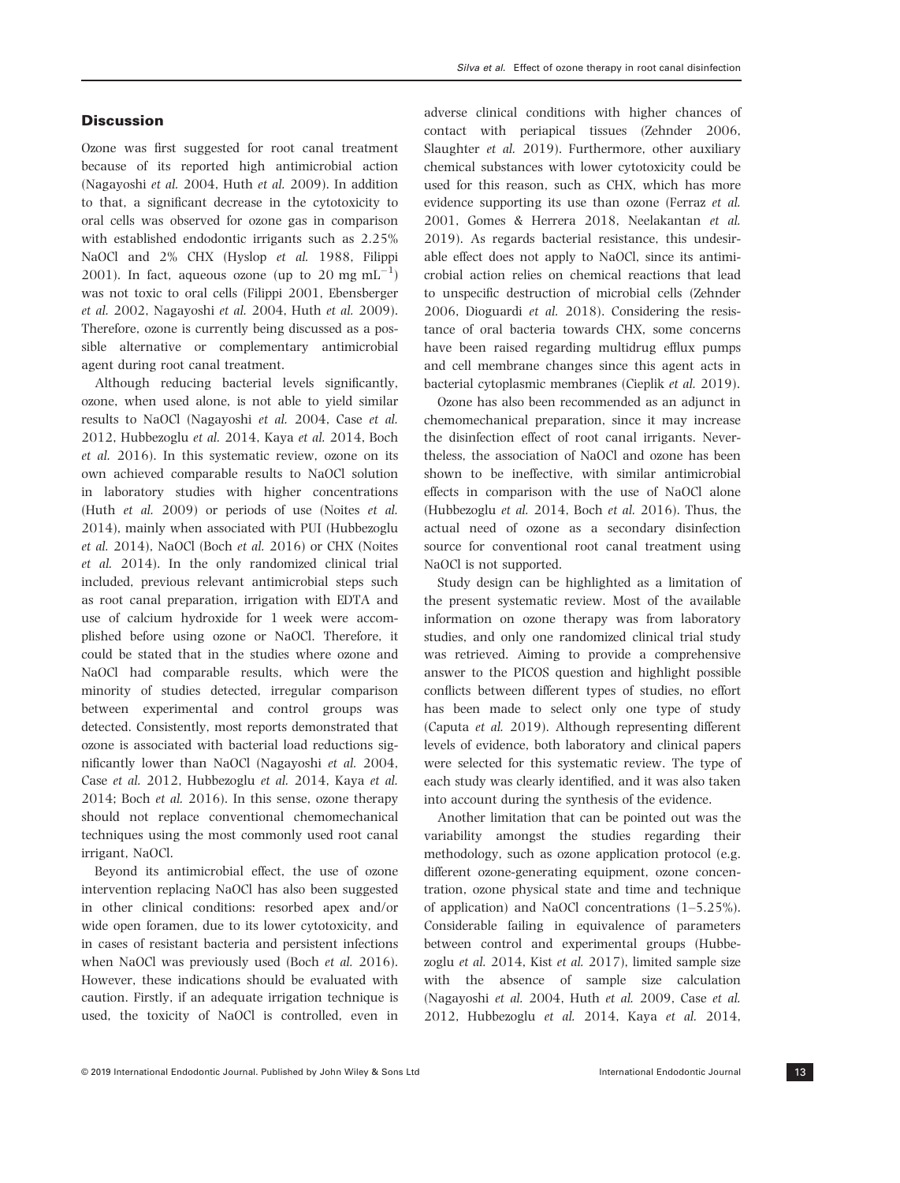Ozone was first suggested for root canal treatment because of its reported high antimicrobial action (Nagayoshi et al. 2004, Huth et al. 2009). In addition to that, a significant decrease in the cytotoxicity to oral cells was observed for ozone gas in comparison with established endodontic irrigants such as 2.25% NaOCl and 2% CHX (Hyslop et al. 1988, Filippi 2001). In fact, aqueous ozone (up to 20 mg  $mL^{-1}$ ) was not toxic to oral cells (Filippi 2001, Ebensberger et al. 2002, Nagayoshi et al. 2004, Huth et al. 2009). Therefore, ozone is currently being discussed as a possible alternative or complementary antimicrobial agent during root canal treatment.

Although reducing bacterial levels significantly, ozone, when used alone, is not able to yield similar results to NaOCl (Nagayoshi et al. 2004, Case et al. 2012, Hubbezoglu et al. 2014, Kaya et al. 2014, Boch et al. 2016). In this systematic review, ozone on its own achieved comparable results to NaOCl solution in laboratory studies with higher concentrations (Huth et al. 2009) or periods of use (Noites et al. 2014), mainly when associated with PUI (Hubbezoglu et al. 2014), NaOCl (Boch et al. 2016) or CHX (Noites et al. 2014). In the only randomized clinical trial included, previous relevant antimicrobial steps such as root canal preparation, irrigation with EDTA and use of calcium hydroxide for 1 week were accomplished before using ozone or NaOCl. Therefore, it could be stated that in the studies where ozone and NaOCl had comparable results, which were the minority of studies detected, irregular comparison between experimental and control groups was detected. Consistently, most reports demonstrated that ozone is associated with bacterial load reductions significantly lower than NaOCl (Nagayoshi et al. 2004, Case et al. 2012, Hubbezoglu et al. 2014, Kaya et al. 2014; Boch et al. 2016). In this sense, ozone therapy should not replace conventional chemomechanical techniques using the most commonly used root canal irrigant, NaOCl.

Beyond its antimicrobial effect, the use of ozone intervention replacing NaOCl has also been suggested in other clinical conditions: resorbed apex and/or wide open foramen, due to its lower cytotoxicity, and in cases of resistant bacteria and persistent infections when NaOCl was previously used (Boch et al. 2016). However, these indications should be evaluated with caution. Firstly, if an adequate irrigation technique is used, the toxicity of NaOCl is controlled, even in adverse clinical conditions with higher chances of contact with periapical tissues (Zehnder 2006, Slaughter et al. 2019). Furthermore, other auxiliary chemical substances with lower cytotoxicity could be used for this reason, such as CHX, which has more evidence supporting its use than ozone (Ferraz et al. 2001, Gomes & Herrera 2018, Neelakantan et al. 2019). As regards bacterial resistance, this undesirable effect does not apply to NaOCl, since its antimicrobial action relies on chemical reactions that lead to unspecific destruction of microbial cells (Zehnder 2006, Dioguardi et al. 2018). Considering the resistance of oral bacteria towards CHX, some concerns have been raised regarding multidrug efflux pumps and cell membrane changes since this agent acts in

Ozone has also been recommended as an adjunct in chemomechanical preparation, since it may increase the disinfection effect of root canal irrigants. Nevertheless, the association of NaOCl and ozone has been shown to be ineffective, with similar antimicrobial effects in comparison with the use of NaOCl alone (Hubbezoglu et al. 2014, Boch et al. 2016). Thus, the actual need of ozone as a secondary disinfection source for conventional root canal treatment using NaOCl is not supported.

bacterial cytoplasmic membranes (Cieplik et al. 2019).

Study design can be highlighted as a limitation of the present systematic review. Most of the available information on ozone therapy was from laboratory studies, and only one randomized clinical trial study was retrieved. Aiming to provide a comprehensive answer to the PICOS question and highlight possible conflicts between different types of studies, no effort has been made to select only one type of study (Caputa et al. 2019). Although representing different levels of evidence, both laboratory and clinical papers were selected for this systematic review. The type of each study was clearly identified, and it was also taken into account during the synthesis of the evidence.

Another limitation that can be pointed out was the variability amongst the studies regarding their methodology, such as ozone application protocol (e.g. different ozone-generating equipment, ozone concentration, ozone physical state and time and technique of application) and NaOCl concentrations (1–5.25%). Considerable failing in equivalence of parameters between control and experimental groups (Hubbezoglu et al. 2014, Kist et al. 2017), limited sample size with the absence of sample size calculation (Nagayoshi et al. 2004, Huth et al. 2009, Case et al. 2012, Hubbezoglu et al. 2014, Kaya et al. 2014,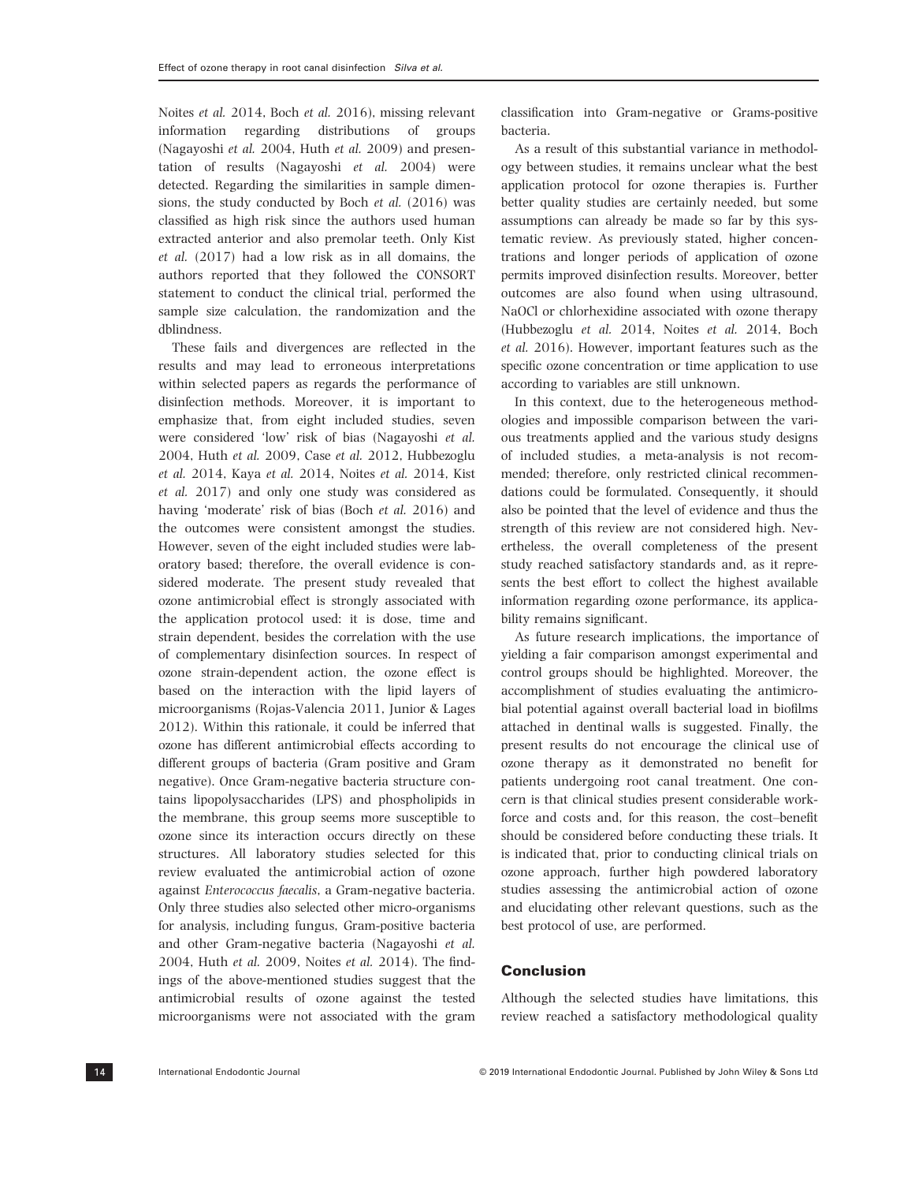Noites et al. 2014, Boch et al. 2016), missing relevant information regarding distributions of groups (Nagayoshi et al. 2004, Huth et al. 2009) and presentation of results (Nagayoshi et al. 2004) were detected. Regarding the similarities in sample dimensions, the study conducted by Boch et al. (2016) was classified as high risk since the authors used human extracted anterior and also premolar teeth. Only Kist et al. (2017) had a low risk as in all domains, the authors reported that they followed the CONSORT statement to conduct the clinical trial, performed the sample size calculation, the randomization and the dblindness.

These fails and divergences are reflected in the results and may lead to erroneous interpretations within selected papers as regards the performance of disinfection methods. Moreover, it is important to emphasize that, from eight included studies, seven were considered 'low' risk of bias (Nagayoshi et al. 2004, Huth et al. 2009, Case et al. 2012, Hubbezoglu et al. 2014, Kaya et al. 2014, Noites et al. 2014, Kist et al. 2017) and only one study was considered as having 'moderate' risk of bias (Boch et al. 2016) and the outcomes were consistent amongst the studies. However, seven of the eight included studies were laboratory based; therefore, the overall evidence is considered moderate. The present study revealed that ozone antimicrobial effect is strongly associated with the application protocol used: it is dose, time and strain dependent, besides the correlation with the use of complementary disinfection sources. In respect of ozone strain-dependent action, the ozone effect is based on the interaction with the lipid layers of microorganisms (Rojas-Valencia 2011, Junior & Lages 2012). Within this rationale, it could be inferred that ozone has different antimicrobial effects according to different groups of bacteria (Gram positive and Gram negative). Once Gram-negative bacteria structure contains lipopolysaccharides (LPS) and phospholipids in the membrane, this group seems more susceptible to ozone since its interaction occurs directly on these structures. All laboratory studies selected for this review evaluated the antimicrobial action of ozone against Enterococcus faecalis, a Gram-negative bacteria. Only three studies also selected other micro-organisms for analysis, including fungus, Gram-positive bacteria and other Gram-negative bacteria (Nagayoshi et al. 2004, Huth et al. 2009, Noites et al. 2014). The findings of the above-mentioned studies suggest that the antimicrobial results of ozone against the tested microorganisms were not associated with the gram classification into Gram-negative or Grams-positive bacteria.

As a result of this substantial variance in methodology between studies, it remains unclear what the best application protocol for ozone therapies is. Further better quality studies are certainly needed, but some assumptions can already be made so far by this systematic review. As previously stated, higher concentrations and longer periods of application of ozone permits improved disinfection results. Moreover, better outcomes are also found when using ultrasound, NaOCl or chlorhexidine associated with ozone therapy (Hubbezoglu et al. 2014, Noites et al. 2014, Boch et al. 2016). However, important features such as the specific ozone concentration or time application to use according to variables are still unknown.

In this context, due to the heterogeneous methodologies and impossible comparison between the various treatments applied and the various study designs of included studies, a meta-analysis is not recommended; therefore, only restricted clinical recommendations could be formulated. Consequently, it should also be pointed that the level of evidence and thus the strength of this review are not considered high. Nevertheless, the overall completeness of the present study reached satisfactory standards and, as it represents the best effort to collect the highest available information regarding ozone performance, its applicability remains significant.

As future research implications, the importance of yielding a fair comparison amongst experimental and control groups should be highlighted. Moreover, the accomplishment of studies evaluating the antimicrobial potential against overall bacterial load in biofilms attached in dentinal walls is suggested. Finally, the present results do not encourage the clinical use of ozone therapy as it demonstrated no benefit for patients undergoing root canal treatment. One concern is that clinical studies present considerable workforce and costs and, for this reason, the cost–benefit should be considered before conducting these trials. It is indicated that, prior to conducting clinical trials on ozone approach, further high powdered laboratory studies assessing the antimicrobial action of ozone and elucidating other relevant questions, such as the best protocol of use, are performed.

## Conclusion

Although the selected studies have limitations, this review reached a satisfactory methodological quality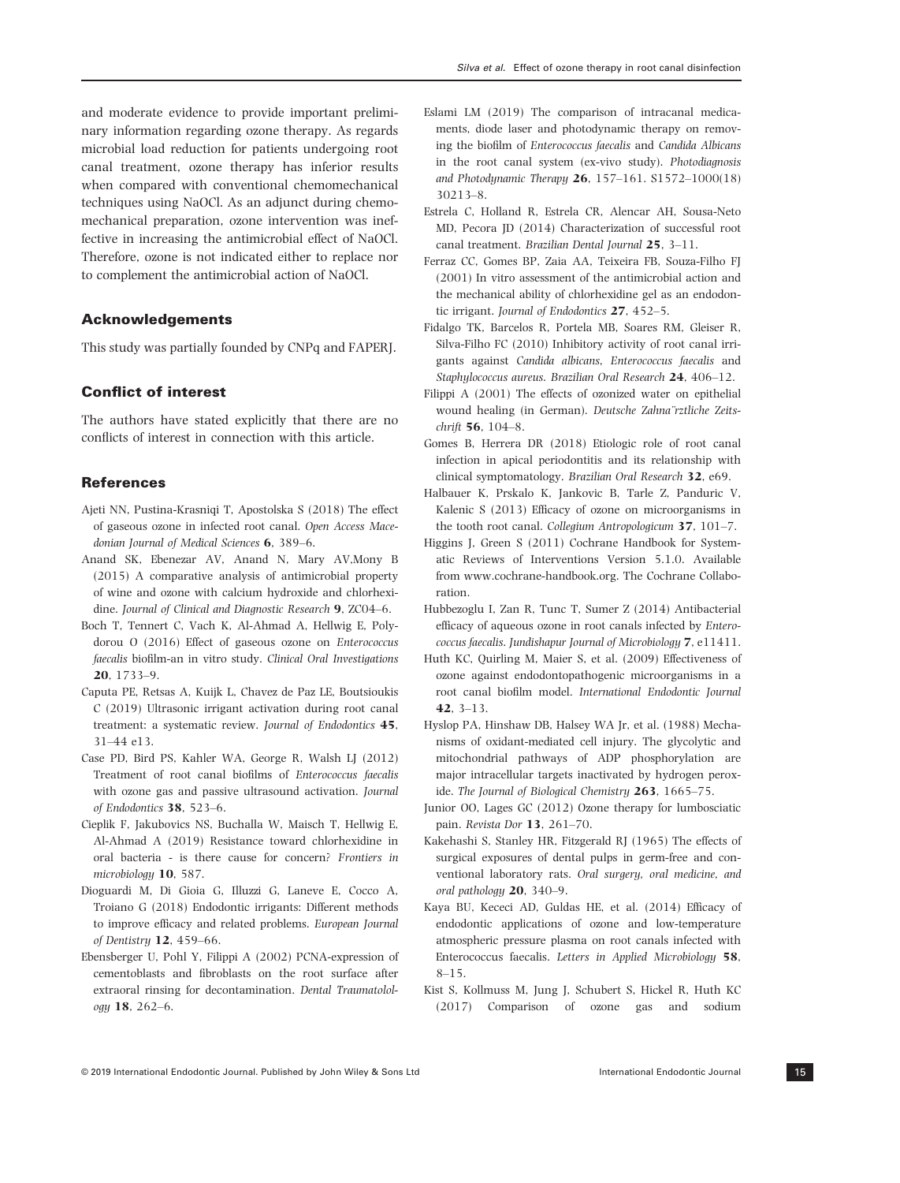and moderate evidence to provide important preliminary information regarding ozone therapy. As regards microbial load reduction for patients undergoing root canal treatment, ozone therapy has inferior results when compared with conventional chemomechanical techniques using NaOCl. As an adjunct during chemomechanical preparation, ozone intervention was ineffective in increasing the antimicrobial effect of NaOCl. Therefore, ozone is not indicated either to replace nor to complement the antimicrobial action of NaOCl.

### Acknowledgements

This study was partially founded by CNPq and FAPERJ.

## Conflict of interest

The authors have stated explicitly that there are no conflicts of interest in connection with this article.

### **References**

- Ajeti NN, Pustina-Krasniqi T, Apostolska S (2018) The effect of gaseous ozone in infected root canal. Open Access Macedonian Journal of Medical Sciences **6**, 389-6.
- Anand SK, Ebenezar AV, Anand N, Mary AV,Mony B (2015) A comparative analysis of antimicrobial property of wine and ozone with calcium hydroxide and chlorhexidine. Journal of Clinical and Diagnostic Research 9, ZC04–6.
- Boch T, Tennert C, Vach K, Al-Ahmad A, Hellwig E, Polydorou O (2016) Effect of gaseous ozone on Enterococcus faecalis biofilm-an in vitro study. Clinical Oral Investigations 20, 1733–9.
- Caputa PE, Retsas A, Kuijk L, Chavez de Paz LE, Boutsioukis C (2019) Ultrasonic irrigant activation during root canal treatment: a systematic review. Journal of Endodontics 45, 31–44 e13.
- Case PD, Bird PS, Kahler WA, George R, Walsh LJ (2012) Treatment of root canal biofilms of Enterococcus faecalis with ozone gas and passive ultrasound activation. Journal of Endodontics 38, 523–6.
- Cieplik F, Jakubovics NS, Buchalla W, Maisch T, Hellwig E, Al-Ahmad A (2019) Resistance toward chlorhexidine in oral bacteria - is there cause for concern? Frontiers in microbiology 10, 587.
- Dioguardi M, Di Gioia G, Illuzzi G, Laneve E, Cocco A, Troiano G (2018) Endodontic irrigants: Different methods to improve efficacy and related problems. European Journal of Dentistry 12, 459–66.
- Ebensberger U, Pohl Y, Filippi A (2002) PCNA-expression of cementoblasts and fibroblasts on the root surface after extraoral rinsing for decontamination. Dental Traumatolology 18, 262–6.
- Eslami LM (2019) The comparison of intracanal medicaments, diode laser and photodynamic therapy on removing the biofilm of Enterococcus faecalis and Candida Albicans in the root canal system (ex-vivo study). Photodiagnosis and Photodynamic Therapy 26, 157–161. S1572–1000(18) 30213–8.
- Estrela C, Holland R, Estrela CR, Alencar AH, Sousa-Neto MD, Pecora JD (2014) Characterization of successful root canal treatment. Brazilian Dental Journal 25, 3–11.
- Ferraz CC, Gomes BP, Zaia AA, Teixeira FB, Souza-Filho FJ (2001) In vitro assessment of the antimicrobial action and the mechanical ability of chlorhexidine gel as an endodontic irrigant. Journal of Endodontics 27, 452–5.
- Fidalgo TK, Barcelos R, Portela MB, Soares RM, Gleiser R, Silva-Filho FC (2010) Inhibitory activity of root canal irrigants against Candida albicans, Enterococcus faecalis and Staphylococcus aureus. Brazilian Oral Research 24, 406–12.
- Filippi A (2001) The effects of ozonized water on epithelial wound healing (in German). Deutsche Zahna¨rztliche Zeitschrift 56, 104–8.
- Gomes B, Herrera DR (2018) Etiologic role of root canal infection in apical periodontitis and its relationship with clinical symptomatology. Brazilian Oral Research 32, e69.
- Halbauer K, Prskalo K, Jankovic B, Tarle Z, Panduric V, Kalenic S (2013) Efficacy of ozone on microorganisms in the tooth root canal. Collegium Antropologicum 37, 101-7.
- Higgins J, Green S (2011) Cochrane Handbook for Systematic Reviews of Interventions Version 5.1.0. Available from www.cochrane-handbook.org. The Cochrane Collaboration.
- Hubbezoglu I, Zan R, Tunc T, Sumer Z (2014) Antibacterial efficacy of aqueous ozone in root canals infected by Enterococcus faecalis. Jundishapur Journal of Microbiology 7, e11411.
- Huth KC, Quirling M, Maier S, et al. (2009) Effectiveness of ozone against endodontopathogenic microorganisms in a root canal biofilm model. International Endodontic Journal 42, 3–13.
- Hyslop PA, Hinshaw DB, Halsey WA Jr, et al. (1988) Mechanisms of oxidant-mediated cell injury. The glycolytic and mitochondrial pathways of ADP phosphorylation are major intracellular targets inactivated by hydrogen peroxide. The Journal of Biological Chemistry 263, 1665–75.
- Junior OO, Lages GC (2012) Ozone therapy for lumbosciatic pain. Revista Dor 13, 261–70.
- Kakehashi S, Stanley HR, Fitzgerald RJ (1965) The effects of surgical exposures of dental pulps in germ-free and conventional laboratory rats. Oral surgery, oral medicine, and oral pathology 20, 340–9.
- Kaya BU, Kececi AD, Guldas HE, et al. (2014) Efficacy of endodontic applications of ozone and low-temperature atmospheric pressure plasma on root canals infected with Enterococcus faecalis. Letters in Applied Microbiology 58, 8–15.
- Kist S, Kollmuss M, Jung J, Schubert S, Hickel R, Huth KC (2017) Comparison of ozone gas and sodium